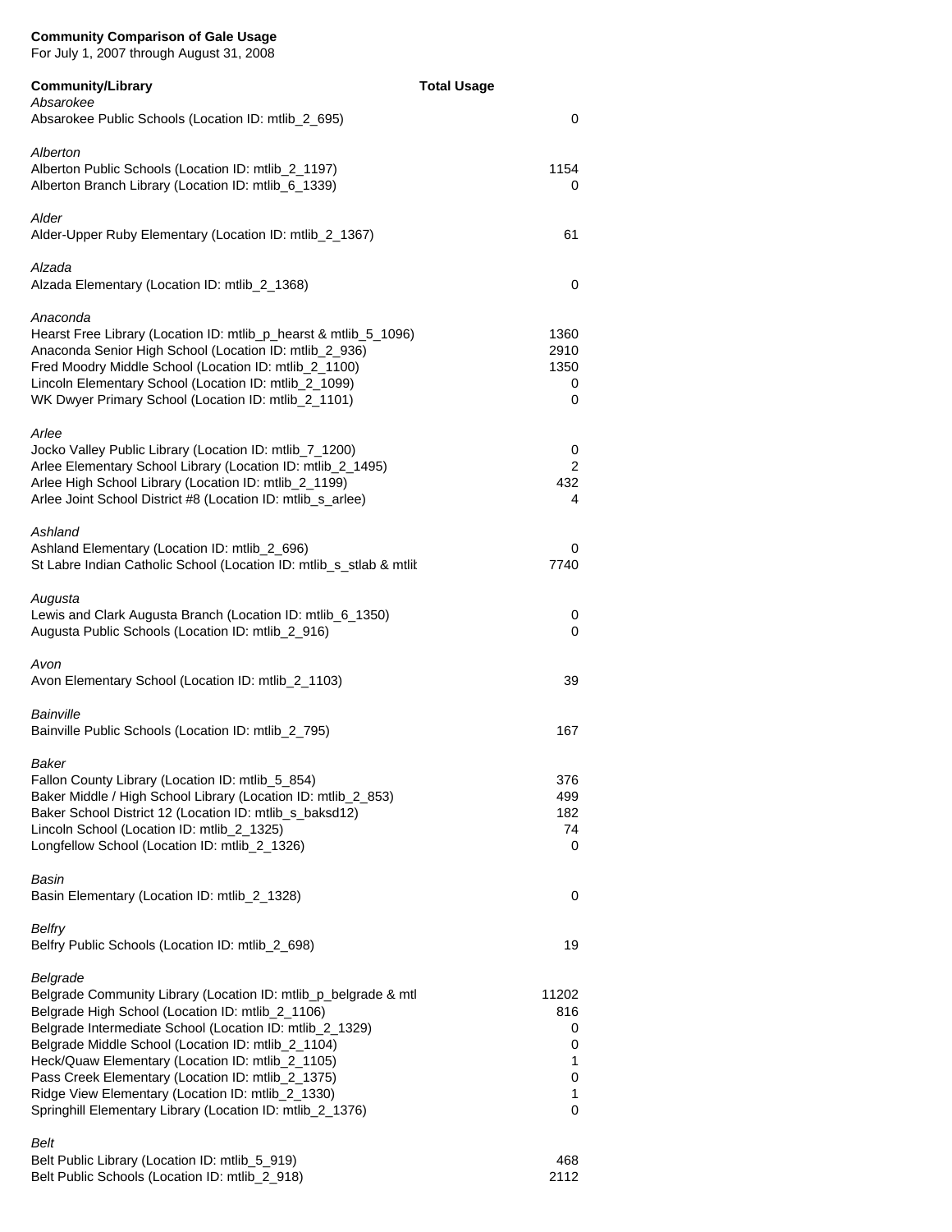For July 1, 2007 through August 31, 2008

Belt Public Schools (Location ID: mtlib\_2\_918)

| <b>Community/Library</b>                                                                                                                                                                                                                                                                                                                                                                                                                                                     | <b>Total Usage</b>                                            |
|------------------------------------------------------------------------------------------------------------------------------------------------------------------------------------------------------------------------------------------------------------------------------------------------------------------------------------------------------------------------------------------------------------------------------------------------------------------------------|---------------------------------------------------------------|
| Absarokee<br>Absarokee Public Schools (Location ID: mtlib_2_695)                                                                                                                                                                                                                                                                                                                                                                                                             | 0                                                             |
| Alberton<br>Alberton Public Schools (Location ID: mtlib_2_1197)<br>Alberton Branch Library (Location ID: mtlib_6_1339)                                                                                                                                                                                                                                                                                                                                                       | 1154<br>0                                                     |
| Alder<br>Alder-Upper Ruby Elementary (Location ID: mtlib_2_1367)                                                                                                                                                                                                                                                                                                                                                                                                             | 61                                                            |
| Alzada<br>Alzada Elementary (Location ID: mtlib_2_1368)                                                                                                                                                                                                                                                                                                                                                                                                                      | 0                                                             |
| Anaconda<br>Hearst Free Library (Location ID: mtlib_p_hearst & mtlib_5_1096)<br>Anaconda Senior High School (Location ID: mtlib_2_936)<br>Fred Moodry Middle School (Location ID: mtlib_2_1100)<br>Lincoln Elementary School (Location ID: mtlib_2_1099)<br>WK Dwyer Primary School (Location ID: mtlib_2_1101)                                                                                                                                                              | 1360<br>2910<br>1350<br>0<br>0                                |
| Arlee<br>Jocko Valley Public Library (Location ID: mtlib_7_1200)<br>Arlee Elementary School Library (Location ID: mtlib_2_1495)<br>Arlee High School Library (Location ID: mtlib_2_1199)<br>Arlee Joint School District #8 (Location ID: mtlib_s_arlee)                                                                                                                                                                                                                      | 0<br>2<br>432<br>4                                            |
| Ashland<br>Ashland Elementary (Location ID: mtlib_2_696)<br>St Labre Indian Catholic School (Location ID: mtlib_s_stlab & mtlit                                                                                                                                                                                                                                                                                                                                              | 0<br>7740                                                     |
| Augusta<br>Lewis and Clark Augusta Branch (Location ID: mtlib 6 1350)<br>Augusta Public Schools (Location ID: mtlib_2_916)                                                                                                                                                                                                                                                                                                                                                   | 0<br>0                                                        |
| Avon<br>Avon Elementary School (Location ID: mtlib_2_1103)                                                                                                                                                                                                                                                                                                                                                                                                                   | 39                                                            |
| Bainville<br>Bainville Public Schools (Location ID: mtlib_2_795)                                                                                                                                                                                                                                                                                                                                                                                                             | 167                                                           |
| Baker<br>Fallon County Library (Location ID: mtlib_5_854)<br>Baker Middle / High School Library (Location ID: mtlib_2_853)<br>Baker School District 12 (Location ID: mtlib_s_baksd12)<br>Lincoln School (Location ID: mtlib_2_1325)<br>Longfellow School (Location ID: mtlib_2_1326)                                                                                                                                                                                         | 376<br>499<br>182<br>74<br>0                                  |
| Basin<br>Basin Elementary (Location ID: mtlib_2_1328)                                                                                                                                                                                                                                                                                                                                                                                                                        | 0                                                             |
| <b>Belfry</b><br>Belfry Public Schools (Location ID: mtlib_2_698)                                                                                                                                                                                                                                                                                                                                                                                                            | 19                                                            |
| Belgrade<br>Belgrade Community Library (Location ID: mtlib_p_belgrade & mtl<br>Belgrade High School (Location ID: mtlib_2_1106)<br>Belgrade Intermediate School (Location ID: mtlib_2_1329)<br>Belgrade Middle School (Location ID: mtlib_2_1104)<br>Heck/Quaw Elementary (Location ID: mtlib_2_1105)<br>Pass Creek Elementary (Location ID: mtlib_2_1375)<br>Ridge View Elementary (Location ID: mtlib_2_1330)<br>Springhill Elementary Library (Location ID: mtlib_2_1376) | 11202<br>816<br>0<br>0<br>1<br>$\pmb{0}$<br>$\mathbf{1}$<br>0 |
| Belt<br>Belt Public Library (Location ID: mtlib_5_919)<br>Belt Public Schools (Location ID: mtlib_2_918)                                                                                                                                                                                                                                                                                                                                                                     | 468<br>2112                                                   |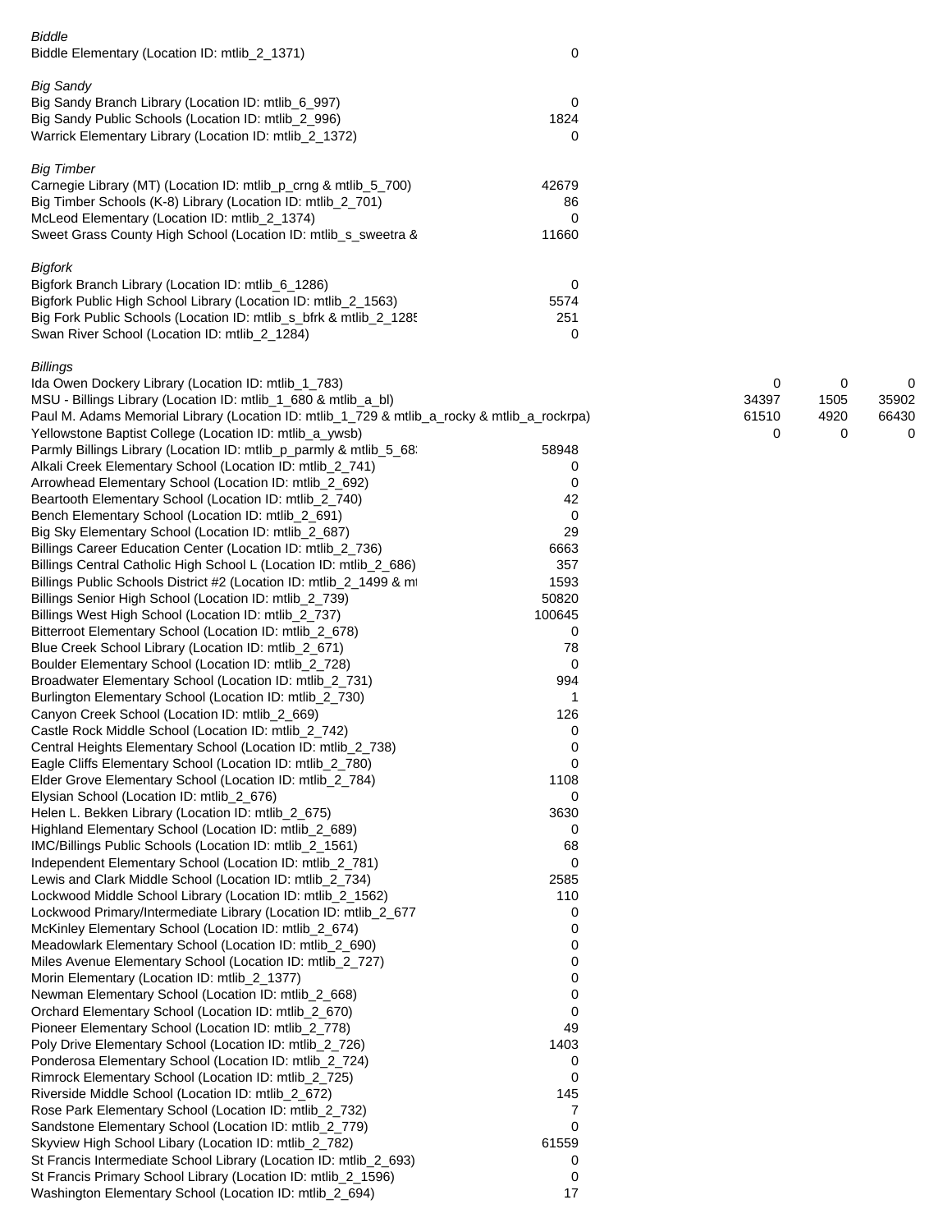| <b>Biddle</b><br>Biddle Elementary (Location ID: mtlib_2_1371)                                                                                                                                                                                                         | 0                                   |                     |                   |                     |
|------------------------------------------------------------------------------------------------------------------------------------------------------------------------------------------------------------------------------------------------------------------------|-------------------------------------|---------------------|-------------------|---------------------|
| <b>Big Sandy</b><br>Big Sandy Branch Library (Location ID: mtlib_6_997)<br>Big Sandy Public Schools (Location ID: mtlib_2_996)<br>Warrick Elementary Library (Location ID: mtlib_2_1372)                                                                               | 0<br>1824<br>0                      |                     |                   |                     |
| <b>Big Timber</b><br>Carnegie Library (MT) (Location ID: mtlib_p_crng & mtlib_5_700)<br>Big Timber Schools (K-8) Library (Location ID: mtlib_2_701)<br>McLeod Elementary (Location ID: mtlib_2_1374)<br>Sweet Grass County High School (Location ID: mtlib_s_sweetra & | 42679<br>86<br>$\mathbf 0$<br>11660 |                     |                   |                     |
| <b>Bigfork</b><br>Bigfork Branch Library (Location ID: mtlib_6_1286)<br>Bigfork Public High School Library (Location ID: mtlib_2_1563)<br>Big Fork Public Schools (Location ID: mtlib_s_bfrk & mtlib_2_1285<br>Swan River School (Location ID: mtlib_2_1284)           | 0<br>5574<br>251<br>0               |                     |                   |                     |
| <b>Billings</b><br>Ida Owen Dockery Library (Location ID: mtlib_1_783)<br>MSU - Billings Library (Location ID: mtlib_1_680 & mtlib_a_bl)<br>Paul M. Adams Memorial Library (Location ID: mtlib_1_729 & mtlib_a_rocky & mtlib_a_rockrpa)                                |                                     | 0<br>34397<br>61510 | 0<br>1505<br>4920 | 0<br>35902<br>66430 |
| Yellowstone Baptist College (Location ID: mtlib_a_ywsb)                                                                                                                                                                                                                |                                     | 0                   | 0                 | 0                   |
| Parmly Billings Library (Location ID: mtlib_p_parmly & mtlib_5_68:<br>Alkali Creek Elementary School (Location ID: mtlib_2_741)                                                                                                                                        | 58948<br>0                          |                     |                   |                     |
| Arrowhead Elementary School (Location ID: mtlib_2_692)                                                                                                                                                                                                                 | 0                                   |                     |                   |                     |
| Beartooth Elementary School (Location ID: mtlib_2_740)                                                                                                                                                                                                                 | 42                                  |                     |                   |                     |
| Bench Elementary School (Location ID: mtlib_2_691)<br>Big Sky Elementary School (Location ID: mtlib_2_687)                                                                                                                                                             | 0<br>29                             |                     |                   |                     |
| Billings Career Education Center (Location ID: mtlib_2_736)                                                                                                                                                                                                            | 6663                                |                     |                   |                     |
| Billings Central Catholic High School L (Location ID: mtlib_2_686)                                                                                                                                                                                                     | 357                                 |                     |                   |                     |
| Billings Public Schools District #2 (Location ID: mtlib_2_1499 & mt                                                                                                                                                                                                    | 1593                                |                     |                   |                     |
| Billings Senior High School (Location ID: mtlib_2_739)                                                                                                                                                                                                                 | 50820                               |                     |                   |                     |
| Billings West High School (Location ID: mtlib_2_737)<br>Bitterroot Elementary School (Location ID: mtlib_2_678)                                                                                                                                                        | 100645<br>0                         |                     |                   |                     |
| Blue Creek School Library (Location ID: mtlib_2_671)                                                                                                                                                                                                                   | 78                                  |                     |                   |                     |
| Boulder Elementary School (Location ID: mtlib_2_728)                                                                                                                                                                                                                   | 0                                   |                     |                   |                     |
| Broadwater Elementary School (Location ID: mtlib_2_731)                                                                                                                                                                                                                | 994                                 |                     |                   |                     |
| Burlington Elementary School (Location ID: mtlib_2_730)                                                                                                                                                                                                                | 1                                   |                     |                   |                     |
| Canyon Creek School (Location ID: mtlib_2_669)<br>Castle Rock Middle School (Location ID: mtlib_2_742)                                                                                                                                                                 | 126                                 |                     |                   |                     |
| Central Heights Elementary School (Location ID: mtlib_2_738)                                                                                                                                                                                                           | 0<br>0                              |                     |                   |                     |
| Eagle Cliffs Elementary School (Location ID: mtlib_2_780)                                                                                                                                                                                                              | 0                                   |                     |                   |                     |
| Elder Grove Elementary School (Location ID: mtlib_2_784)                                                                                                                                                                                                               | 1108                                |                     |                   |                     |
| Elysian School (Location ID: mtlib_2_676)                                                                                                                                                                                                                              | 0                                   |                     |                   |                     |
| Helen L. Bekken Library (Location ID: mtlib_2_675)                                                                                                                                                                                                                     | 3630                                |                     |                   |                     |
| Highland Elementary School (Location ID: mtlib_2_689)<br>IMC/Billings Public Schools (Location ID: mtlib_2_1561)                                                                                                                                                       | 0<br>68                             |                     |                   |                     |
| Independent Elementary School (Location ID: mtlib_2_781)                                                                                                                                                                                                               | 0                                   |                     |                   |                     |
| Lewis and Clark Middle School (Location ID: mtlib_2_734)                                                                                                                                                                                                               | 2585                                |                     |                   |                     |
| Lockwood Middle School Library (Location ID: mtlib_2_1562)                                                                                                                                                                                                             | 110                                 |                     |                   |                     |
| Lockwood Primary/Intermediate Library (Location ID: mtlib_2_677                                                                                                                                                                                                        | 0                                   |                     |                   |                     |
| McKinley Elementary School (Location ID: mtlib_2_674)<br>Meadowlark Elementary School (Location ID: mtlib_2_690)                                                                                                                                                       | 0<br>0                              |                     |                   |                     |
| Miles Avenue Elementary School (Location ID: mtlib_2_727)                                                                                                                                                                                                              | 0                                   |                     |                   |                     |
| Morin Elementary (Location ID: mtlib_2_1377)                                                                                                                                                                                                                           | 0                                   |                     |                   |                     |
| Newman Elementary School (Location ID: mtlib_2_668)                                                                                                                                                                                                                    | 0                                   |                     |                   |                     |
| Orchard Elementary School (Location ID: mtlib_2_670)                                                                                                                                                                                                                   | 0<br>49                             |                     |                   |                     |
| Pioneer Elementary School (Location ID: mtlib_2_778)<br>Poly Drive Elementary School (Location ID: mtlib_2_726)                                                                                                                                                        | 1403                                |                     |                   |                     |
| Ponderosa Elementary School (Location ID: mtlib_2_724)                                                                                                                                                                                                                 | 0                                   |                     |                   |                     |
| Rimrock Elementary School (Location ID: mtlib_2_725)                                                                                                                                                                                                                   | 0                                   |                     |                   |                     |
| Riverside Middle School (Location ID: mtlib_2_672)                                                                                                                                                                                                                     | 145                                 |                     |                   |                     |
| Rose Park Elementary School (Location ID: mtlib_2_732)                                                                                                                                                                                                                 | 7                                   |                     |                   |                     |
| Sandstone Elementary School (Location ID: mtlib_2_779)<br>Skyview High School Libary (Location ID: mtlib_2_782)                                                                                                                                                        | 0<br>61559                          |                     |                   |                     |
| St Francis Intermediate School Library (Location ID: mtlib_2_693)                                                                                                                                                                                                      | 0                                   |                     |                   |                     |
| St Francis Primary School Library (Location ID: mtlib_2_1596)                                                                                                                                                                                                          | 0                                   |                     |                   |                     |
| Washington Elementary School (Location ID: mtlib_2_694)                                                                                                                                                                                                                | 17                                  |                     |                   |                     |
|                                                                                                                                                                                                                                                                        |                                     |                     |                   |                     |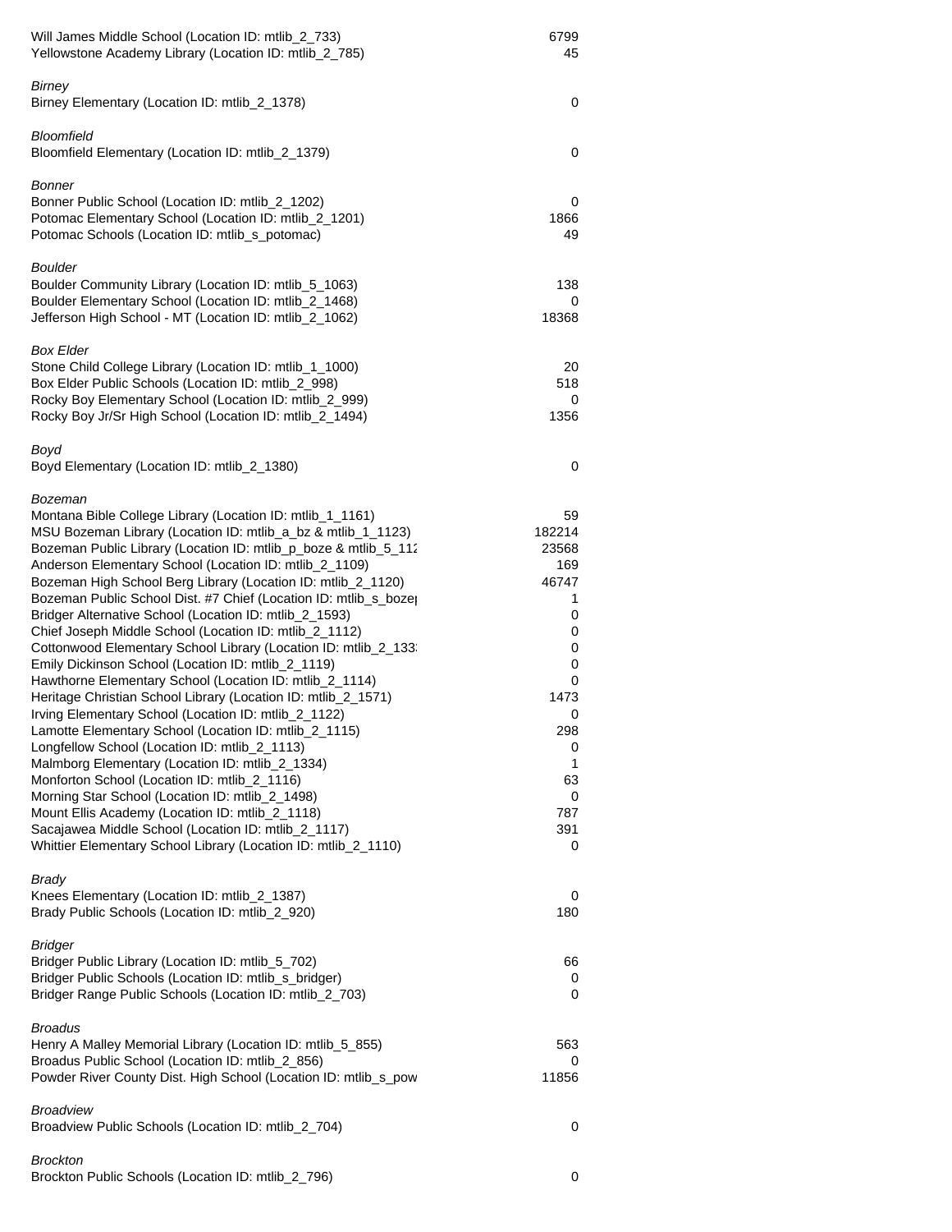| Will James Middle School (Location ID: mtlib_2_733)<br>Yellowstone Academy Library (Location ID: mtlib_2_785)                                                                                                                                                                                                                                                                                                                                                                                                                                                                                                                                                                                                                                                                                                                                                                                                                                                                                                                                                                                                                                                                                                                                                                      | 6799<br>45                                                                                                                      |
|------------------------------------------------------------------------------------------------------------------------------------------------------------------------------------------------------------------------------------------------------------------------------------------------------------------------------------------------------------------------------------------------------------------------------------------------------------------------------------------------------------------------------------------------------------------------------------------------------------------------------------------------------------------------------------------------------------------------------------------------------------------------------------------------------------------------------------------------------------------------------------------------------------------------------------------------------------------------------------------------------------------------------------------------------------------------------------------------------------------------------------------------------------------------------------------------------------------------------------------------------------------------------------|---------------------------------------------------------------------------------------------------------------------------------|
| Birney<br>Birney Elementary (Location ID: mtlib_2_1378)                                                                                                                                                                                                                                                                                                                                                                                                                                                                                                                                                                                                                                                                                                                                                                                                                                                                                                                                                                                                                                                                                                                                                                                                                            | 0                                                                                                                               |
| Bloomfield<br>Bloomfield Elementary (Location ID: mtlib_2_1379)                                                                                                                                                                                                                                                                                                                                                                                                                                                                                                                                                                                                                                                                                                                                                                                                                                                                                                                                                                                                                                                                                                                                                                                                                    | 0                                                                                                                               |
| Bonner<br>Bonner Public School (Location ID: mtlib_2_1202)<br>Potomac Elementary School (Location ID: mtlib_2_1201)<br>Potomac Schools (Location ID: mtlib_s_potomac)                                                                                                                                                                                                                                                                                                                                                                                                                                                                                                                                                                                                                                                                                                                                                                                                                                                                                                                                                                                                                                                                                                              | 0<br>1866<br>49                                                                                                                 |
| <b>Boulder</b><br>Boulder Community Library (Location ID: mtlib_5_1063)<br>Boulder Elementary School (Location ID: mtlib_2_1468)<br>Jefferson High School - MT (Location ID: mtlib_2_1062)                                                                                                                                                                                                                                                                                                                                                                                                                                                                                                                                                                                                                                                                                                                                                                                                                                                                                                                                                                                                                                                                                         | 138<br>0<br>18368                                                                                                               |
| <b>Box Elder</b><br>Stone Child College Library (Location ID: mtlib_1_1000)<br>Box Elder Public Schools (Location ID: mtlib_2_998)<br>Rocky Boy Elementary School (Location ID: mtlib_2_999)<br>Rocky Boy Jr/Sr High School (Location ID: mtlib_2_1494)                                                                                                                                                                                                                                                                                                                                                                                                                                                                                                                                                                                                                                                                                                                                                                                                                                                                                                                                                                                                                            | 20<br>518<br>0<br>1356                                                                                                          |
| Boyd<br>Boyd Elementary (Location ID: mtlib_2_1380)                                                                                                                                                                                                                                                                                                                                                                                                                                                                                                                                                                                                                                                                                                                                                                                                                                                                                                                                                                                                                                                                                                                                                                                                                                | 0                                                                                                                               |
| Bozeman<br>Montana Bible College Library (Location ID: mtlib_1_1161)<br>MSU Bozeman Library (Location ID: mtlib_a_bz & mtlib_1_1123)<br>Bozeman Public Library (Location ID: mtlib_p_boze & mtlib_5_112<br>Anderson Elementary School (Location ID: mtlib_2_1109)<br>Bozeman High School Berg Library (Location ID: mtlib_2_1120)<br>Bozeman Public School Dist. #7 Chief (Location ID: mtlib_s_boze)<br>Bridger Alternative School (Location ID: mtlib_2_1593)<br>Chief Joseph Middle School (Location ID: mtlib_2_1112)<br>Cottonwood Elementary School Library (Location ID: mtlib_2_133.<br>Emily Dickinson School (Location ID: mtlib_2_1119)<br>Hawthorne Elementary School (Location ID: mtlib_2_1114)<br>Heritage Christian School Library (Location ID: mtlib_2_1571)<br>Irving Elementary School (Location ID: mtlib_2_1122)<br>Lamotte Elementary School (Location ID: mtlib_2_1115)<br>Longfellow School (Location ID: mtlib_2_1113)<br>Malmborg Elementary (Location ID: mtlib_2_1334)<br>Monforton School (Location ID: mtlib_2_1116)<br>Morning Star School (Location ID: mtlib_2_1498)<br>Mount Ellis Academy (Location ID: mtlib_2_1118)<br>Sacajawea Middle School (Location ID: mtlib_2_1117)<br>Whittier Elementary School Library (Location ID: mtlib_2_1110) | 59<br>182214<br>23568<br>169<br>46747<br>1<br>0<br>0<br>0<br>0<br>0<br>1473<br>0<br>298<br>0<br>1<br>63<br>0<br>787<br>391<br>0 |
| <b>Brady</b><br>Knees Elementary (Location ID: mtlib_2_1387)<br>Brady Public Schools (Location ID: mtlib_2_920)                                                                                                                                                                                                                                                                                                                                                                                                                                                                                                                                                                                                                                                                                                                                                                                                                                                                                                                                                                                                                                                                                                                                                                    | 0<br>180                                                                                                                        |
| <b>Bridger</b><br>Bridger Public Library (Location ID: mtlib_5_702)<br>Bridger Public Schools (Location ID: mtlib_s_bridger)<br>Bridger Range Public Schools (Location ID: mtlib_2_703)                                                                                                                                                                                                                                                                                                                                                                                                                                                                                                                                                                                                                                                                                                                                                                                                                                                                                                                                                                                                                                                                                            | 66<br>0<br>0                                                                                                                    |
| <b>Broadus</b><br>Henry A Malley Memorial Library (Location ID: mtlib_5_855)<br>Broadus Public School (Location ID: mtlib_2_856)<br>Powder River County Dist. High School (Location ID: mtlib_s_pow                                                                                                                                                                                                                                                                                                                                                                                                                                                                                                                                                                                                                                                                                                                                                                                                                                                                                                                                                                                                                                                                                | 563<br>0<br>11856                                                                                                               |
| <b>Broadview</b><br>Broadview Public Schools (Location ID: mtlib_2_704)                                                                                                                                                                                                                                                                                                                                                                                                                                                                                                                                                                                                                                                                                                                                                                                                                                                                                                                                                                                                                                                                                                                                                                                                            | 0                                                                                                                               |
| <b>Brockton</b><br>Brockton Public Schools (Location ID: mtlib_2_796)                                                                                                                                                                                                                                                                                                                                                                                                                                                                                                                                                                                                                                                                                                                                                                                                                                                                                                                                                                                                                                                                                                                                                                                                              | 0                                                                                                                               |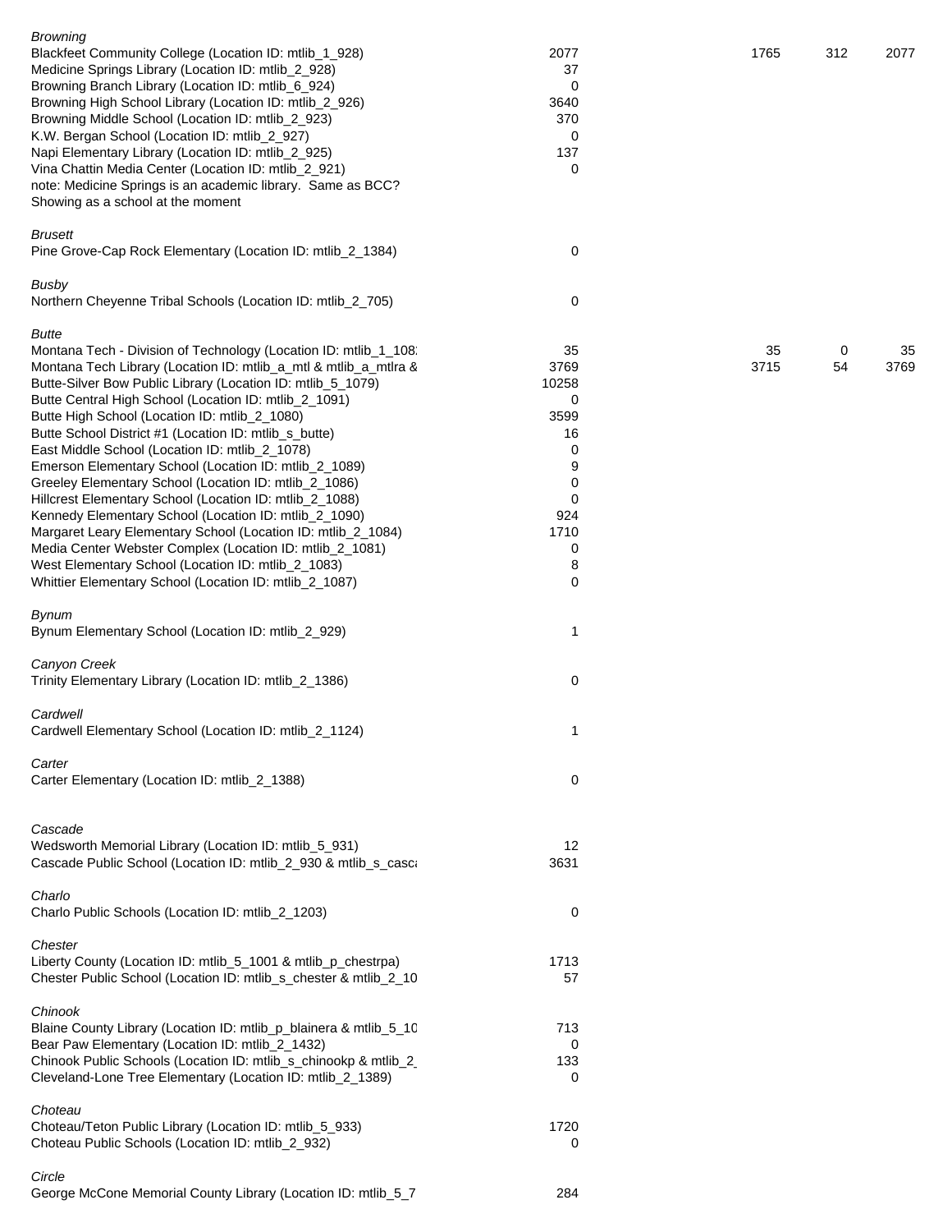| <b>Browning</b><br>Blackfeet Community College (Location ID: mtlib_1_928)<br>Medicine Springs Library (Location ID: mtlib_2_928)<br>Browning Branch Library (Location ID: mtlib_6_924)<br>Browning High School Library (Location ID: mtlib_2_926)<br>Browning Middle School (Location ID: mtlib_2_923)<br>K.W. Bergan School (Location ID: mtlib_2_927)<br>Napi Elementary Library (Location ID: mtlib_2_925)<br>Vina Chattin Media Center (Location ID: mtlib_2_921)<br>note: Medicine Springs is an academic library. Same as BCC?<br>Showing as a school at the moment                                                                                                                                                                                                                                                                                                                                           | 2077<br>37<br>0<br>3640<br>370<br>0<br>137<br>0                                          | 1765       | 312     | 2077       |
|---------------------------------------------------------------------------------------------------------------------------------------------------------------------------------------------------------------------------------------------------------------------------------------------------------------------------------------------------------------------------------------------------------------------------------------------------------------------------------------------------------------------------------------------------------------------------------------------------------------------------------------------------------------------------------------------------------------------------------------------------------------------------------------------------------------------------------------------------------------------------------------------------------------------|------------------------------------------------------------------------------------------|------------|---------|------------|
| Brusett<br>Pine Grove-Cap Rock Elementary (Location ID: mtlib_2_1384)                                                                                                                                                                                                                                                                                                                                                                                                                                                                                                                                                                                                                                                                                                                                                                                                                                               | 0                                                                                        |            |         |            |
| Busby<br>Northern Cheyenne Tribal Schools (Location ID: mtlib_2_705)                                                                                                                                                                                                                                                                                                                                                                                                                                                                                                                                                                                                                                                                                                                                                                                                                                                | 0                                                                                        |            |         |            |
| Butte<br>Montana Tech - Division of Technology (Location ID: mtlib_1_108.<br>Montana Tech Library (Location ID: mtlib_a_mtl & mtlib_a_mtlra &<br>Butte-Silver Bow Public Library (Location ID: mtlib_5_1079)<br>Butte Central High School (Location ID: mtlib_2_1091)<br>Butte High School (Location ID: mtlib_2_1080)<br>Butte School District #1 (Location ID: mtlib_s_butte)<br>East Middle School (Location ID: mtlib_2_1078)<br>Emerson Elementary School (Location ID: mtlib_2_1089)<br>Greeley Elementary School (Location ID: mtlib_2_1086)<br>Hillcrest Elementary School (Location ID: mtlib_2_1088)<br>Kennedy Elementary School (Location ID: mtlib_2_1090)<br>Margaret Leary Elementary School (Location ID: mtlib_2_1084)<br>Media Center Webster Complex (Location ID: mtlib_2_1081)<br>West Elementary School (Location ID: mtlib_2_1083)<br>Whittier Elementary School (Location ID: mtlib_2_1087) | 35<br>3769<br>10258<br>0<br>3599<br>16<br>0<br>9<br>0<br>0<br>924<br>1710<br>0<br>8<br>0 | 35<br>3715 | 0<br>54 | 35<br>3769 |
| <b>Bynum</b><br>Bynum Elementary School (Location ID: mtlib_2_929)                                                                                                                                                                                                                                                                                                                                                                                                                                                                                                                                                                                                                                                                                                                                                                                                                                                  | 1                                                                                        |            |         |            |
| Canyon Creek<br>Trinity Elementary Library (Location ID: mtlib_2_1386)                                                                                                                                                                                                                                                                                                                                                                                                                                                                                                                                                                                                                                                                                                                                                                                                                                              | 0                                                                                        |            |         |            |
| Cardwell<br>Cardwell Elementary School (Location ID: mtlib_2_1124)                                                                                                                                                                                                                                                                                                                                                                                                                                                                                                                                                                                                                                                                                                                                                                                                                                                  | 1                                                                                        |            |         |            |
| Carter<br>Carter Elementary (Location ID: mtlib_2_1388)                                                                                                                                                                                                                                                                                                                                                                                                                                                                                                                                                                                                                                                                                                                                                                                                                                                             | 0                                                                                        |            |         |            |
| Cascade<br>Wedsworth Memorial Library (Location ID: mtlib_5_931)<br>Cascade Public School (Location ID: mtlib_2_930 & mtlib_s_casca<br>Charlo                                                                                                                                                                                                                                                                                                                                                                                                                                                                                                                                                                                                                                                                                                                                                                       | 12<br>3631                                                                               |            |         |            |
| Charlo Public Schools (Location ID: mtlib_2_1203)                                                                                                                                                                                                                                                                                                                                                                                                                                                                                                                                                                                                                                                                                                                                                                                                                                                                   | 0                                                                                        |            |         |            |
| Chester<br>Liberty County (Location ID: mtlib_5_1001 & mtlib_p_chestrpa)<br>Chester Public School (Location ID: mtlib_s_chester & mtlib_2_10                                                                                                                                                                                                                                                                                                                                                                                                                                                                                                                                                                                                                                                                                                                                                                        | 1713<br>57                                                                               |            |         |            |
| Chinook<br>Blaine County Library (Location ID: mtlib_p_blainera & mtlib_5_10<br>Bear Paw Elementary (Location ID: mtlib_2_1432)<br>Chinook Public Schools (Location ID: mtlib_s_chinookp & mtlib_2<br>Cleveland-Lone Tree Elementary (Location ID: mtlib_2_1389)                                                                                                                                                                                                                                                                                                                                                                                                                                                                                                                                                                                                                                                    | 713<br>0<br>133<br>0                                                                     |            |         |            |
| Choteau<br>Choteau/Teton Public Library (Location ID: mtlib_5_933)<br>Choteau Public Schools (Location ID: mtlib_2_932)                                                                                                                                                                                                                                                                                                                                                                                                                                                                                                                                                                                                                                                                                                                                                                                             | 1720<br>0                                                                                |            |         |            |
| Circle<br>George McCone Memorial County Library (Location ID: mtlib_5_7                                                                                                                                                                                                                                                                                                                                                                                                                                                                                                                                                                                                                                                                                                                                                                                                                                             | 284                                                                                      |            |         |            |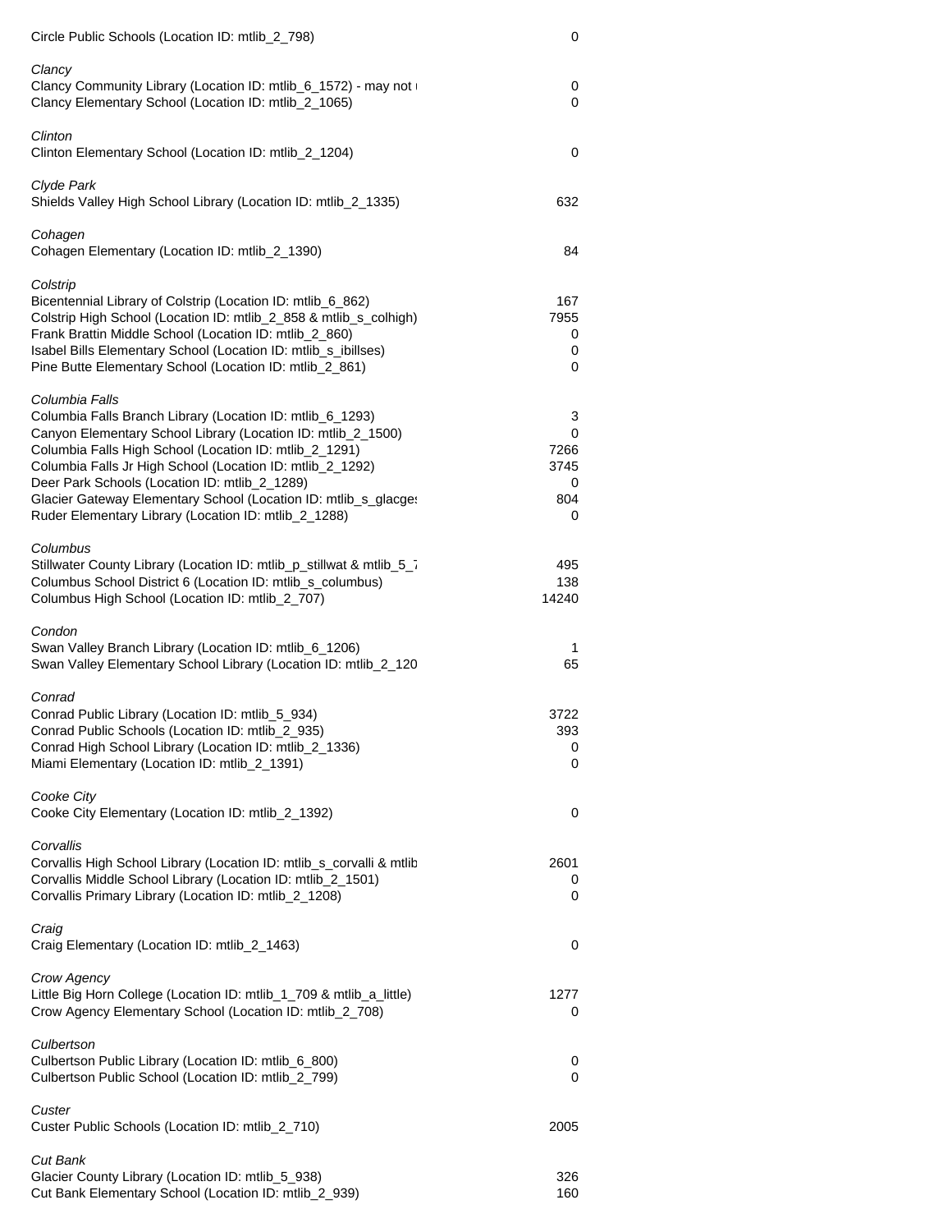| Circle Public Schools (Location ID: mtlib_2_798)                                                                                                                                                                                                                                                                                                                                                                                               | 0                                       |
|------------------------------------------------------------------------------------------------------------------------------------------------------------------------------------------------------------------------------------------------------------------------------------------------------------------------------------------------------------------------------------------------------------------------------------------------|-----------------------------------------|
| Clancy<br>Clancy Community Library (Location ID: mtlib_6_1572) - may not<br>Clancy Elementary School (Location ID: mtlib_2_1065)                                                                                                                                                                                                                                                                                                               | 0<br>0                                  |
| Clinton<br>Clinton Elementary School (Location ID: mtlib_2_1204)                                                                                                                                                                                                                                                                                                                                                                               | 0                                       |
| Clyde Park<br>Shields Valley High School Library (Location ID: mtlib_2_1335)                                                                                                                                                                                                                                                                                                                                                                   | 632                                     |
| Cohagen<br>Cohagen Elementary (Location ID: mtlib_2_1390)                                                                                                                                                                                                                                                                                                                                                                                      | 84                                      |
| Colstrip<br>Bicentennial Library of Colstrip (Location ID: mtlib_6_862)<br>Colstrip High School (Location ID: mtlib_2_858 & mtlib_s_colhigh)<br>Frank Brattin Middle School (Location ID: mtlib_2_860)<br>Isabel Bills Elementary School (Location ID: mtlib_s_ibillses)<br>Pine Butte Elementary School (Location ID: mtlib_2_861)                                                                                                            | 167<br>7955<br>0<br>0<br>0              |
| Columbia Falls<br>Columbia Falls Branch Library (Location ID: mtlib_6_1293)<br>Canyon Elementary School Library (Location ID: mtlib_2_1500)<br>Columbia Falls High School (Location ID: mtlib_2_1291)<br>Columbia Falls Jr High School (Location ID: mtlib_2_1292)<br>Deer Park Schools (Location ID: mtlib_2_1289)<br>Glacier Gateway Elementary School (Location ID: mtlib_s_glacges<br>Ruder Elementary Library (Location ID: mtlib_2_1288) | 3<br>0<br>7266<br>3745<br>0<br>804<br>0 |
| Columbus<br>Stillwater County Library (Location ID: mtlib_p_stillwat & mtlib_5_7<br>Columbus School District 6 (Location ID: mtlib_s_columbus)<br>Columbus High School (Location ID: mtlib_2_707)                                                                                                                                                                                                                                              | 495<br>138<br>14240                     |
| Condon<br>Swan Valley Branch Library (Location ID: mtlib_6_1206)<br>Swan Valley Elementary School Library (Location ID: mtlib_2_120                                                                                                                                                                                                                                                                                                            | 1<br>65                                 |
| Conrad<br>Conrad Public Library (Location ID: mtlib_5_934)<br>Conrad Public Schools (Location ID: mtlib_2_935)<br>Conrad High School Library (Location ID: mtlib_2_1336)<br>Miami Elementary (Location ID: mtlib_2_1391)                                                                                                                                                                                                                       | 3722<br>393<br>0<br>0                   |
| Cooke City<br>Cooke City Elementary (Location ID: mtlib_2_1392)                                                                                                                                                                                                                                                                                                                                                                                | 0                                       |
| Corvallis<br>Corvallis High School Library (Location ID: mtlib_s_corvalli & mtlib<br>Corvallis Middle School Library (Location ID: mtlib_2_1501)<br>Corvallis Primary Library (Location ID: mtlib_2_1208)                                                                                                                                                                                                                                      | 2601<br>0<br>0                          |
| Craig<br>Craig Elementary (Location ID: mtlib_2_1463)                                                                                                                                                                                                                                                                                                                                                                                          | 0                                       |
| Crow Agency<br>Little Big Horn College (Location ID: mtlib_1_709 & mtlib_a_little)<br>Crow Agency Elementary School (Location ID: mtlib_2_708)                                                                                                                                                                                                                                                                                                 | 1277<br>0                               |
| Culbertson<br>Culbertson Public Library (Location ID: mtlib_6_800)<br>Culbertson Public School (Location ID: mtlib_2_799)                                                                                                                                                                                                                                                                                                                      | 0<br>0                                  |
| Custer<br>Custer Public Schools (Location ID: mtlib_2_710)                                                                                                                                                                                                                                                                                                                                                                                     | 2005                                    |
| Cut Bank<br>Glacier County Library (Location ID: mtlib_5_938)<br>Cut Bank Elementary School (Location ID: mtlib_2_939)                                                                                                                                                                                                                                                                                                                         | 326<br>160                              |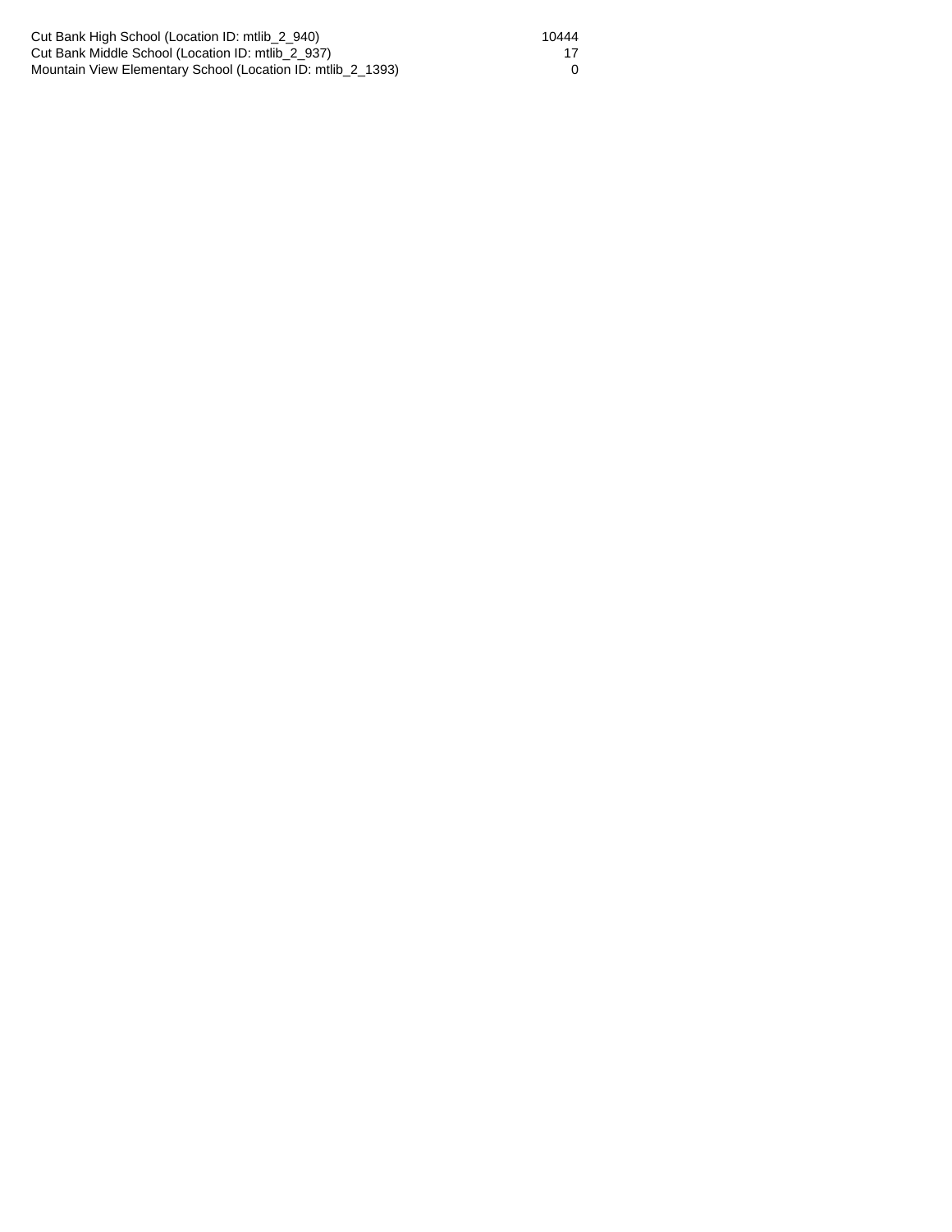Cut Bank High School (Location ID: mtlib\_2\_940) 10444 Cut Bank Middle School (Location ID: mtlib\_2\_937) 17 Mountain View Elementary School (Location ID: mtlib\_2\_1393) 0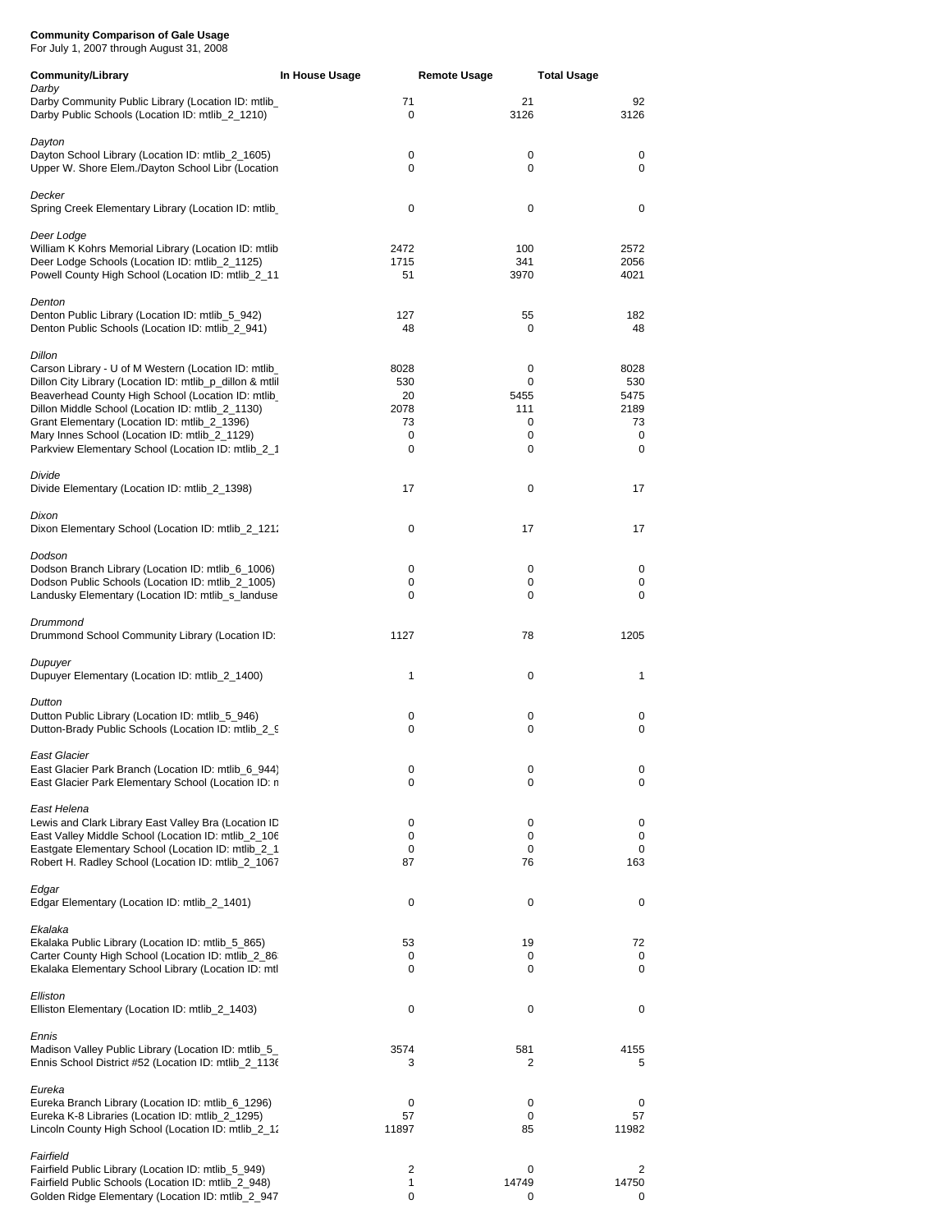For July 1, 2007 through August 31, 2008

| <b>Community/Library</b>                                                                                                                                                                                                                                                                                                                                                                          | In House Usage                            | <b>Remote Usage</b>                  | <b>Total Usage</b>                          |
|---------------------------------------------------------------------------------------------------------------------------------------------------------------------------------------------------------------------------------------------------------------------------------------------------------------------------------------------------------------------------------------------------|-------------------------------------------|--------------------------------------|---------------------------------------------|
| Darby<br>Darby Community Public Library (Location ID: mtlib_<br>Darby Public Schools (Location ID: mtlib_2_1210)                                                                                                                                                                                                                                                                                  | 71<br>0                                   | 21<br>3126                           | 92<br>3126                                  |
| Dayton<br>Dayton School Library (Location ID: mtlib_2_1605)<br>Upper W. Shore Elem./Dayton School Libr (Location                                                                                                                                                                                                                                                                                  | 0<br>0                                    | 0<br>0                               | 0<br>0                                      |
| Decker<br>Spring Creek Elementary Library (Location ID: mtlib                                                                                                                                                                                                                                                                                                                                     | 0                                         | 0                                    | 0                                           |
| Deer Lodge<br>William K Kohrs Memorial Library (Location ID: mtlib<br>Deer Lodge Schools (Location ID: mtlib 2 1125)<br>Powell County High School (Location ID: mtlib_2_11                                                                                                                                                                                                                        | 2472<br>1715<br>51                        | 100<br>341<br>3970                   | 2572<br>2056<br>4021                        |
| Denton<br>Denton Public Library (Location ID: mtlib_5_942)<br>Denton Public Schools (Location ID: mtlib_2_941)                                                                                                                                                                                                                                                                                    | 127<br>48                                 | 55<br>0                              | 182<br>48                                   |
| <b>Dillon</b><br>Carson Library - U of M Western (Location ID: mtlib_<br>Dillon City Library (Location ID: mtlib_p_dillon & mtlil<br>Beaverhead County High School (Location ID: mtlib<br>Dillon Middle School (Location ID: mtlib_2_1130)<br>Grant Elementary (Location ID: mtlib_2_1396)<br>Mary Innes School (Location ID: mtlib_2_1129)<br>Parkview Elementary School (Location ID: mtlib_2_1 | 8028<br>530<br>20<br>2078<br>73<br>0<br>0 | 0<br>0<br>5455<br>111<br>0<br>0<br>0 | 8028<br>530<br>5475<br>2189<br>73<br>0<br>0 |
| Divide<br>Divide Elementary (Location ID: mtlib_2_1398)                                                                                                                                                                                                                                                                                                                                           | 17                                        | 0                                    | 17                                          |
| Dixon<br>Dixon Elementary School (Location ID: mtlib_2_121.                                                                                                                                                                                                                                                                                                                                       | 0                                         | 17                                   | 17                                          |
| Dodson<br>Dodson Branch Library (Location ID: mtlib_6_1006)<br>Dodson Public Schools (Location ID: mtlib_2_1005)<br>Landusky Elementary (Location ID: mtlib_s_landuse                                                                                                                                                                                                                             | 0<br>0<br>0                               | 0<br>0<br>0                          | 0<br>0<br>0                                 |
| Drummond<br>Drummond School Community Library (Location ID:                                                                                                                                                                                                                                                                                                                                       | 1127                                      | 78                                   | 1205                                        |
| Dupuyer<br>Dupuyer Elementary (Location ID: mtlib_2_1400)                                                                                                                                                                                                                                                                                                                                         | 1                                         | 0                                    | 1                                           |
| Dutton<br>Dutton Public Library (Location ID: mtlib_5_946)<br>Dutton-Brady Public Schools (Location ID: mtlib_2_9                                                                                                                                                                                                                                                                                 | 0<br>0                                    | 0<br>0                               | 0<br>0                                      |
| East Glacier<br>East Glacier Park Branch (Location ID: mtlib_6_944)<br>East Glacier Park Elementary School (Location ID: n                                                                                                                                                                                                                                                                        | 0<br>0                                    | 0<br>0                               | 0<br>0                                      |
| East Helena<br>Lewis and Clark Library East Valley Bra (Location ID<br>East Valley Middle School (Location ID: mtlib_2_106<br>Eastgate Elementary School (Location ID: mtlib_2_1<br>Robert H. Radley School (Location ID: mtlib_2_1067                                                                                                                                                            | 0<br>0<br>0<br>87                         | 0<br>0<br>0<br>76                    | 0<br>0<br>0<br>163                          |
| Edgar<br>Edgar Elementary (Location ID: mtlib_2_1401)                                                                                                                                                                                                                                                                                                                                             | 0                                         | 0                                    | 0                                           |
| Ekalaka<br>Ekalaka Public Library (Location ID: mtlib_5_865)<br>Carter County High School (Location ID: mtlib_2_86<br>Ekalaka Elementary School Library (Location ID: mtl                                                                                                                                                                                                                         | 53<br>0<br>0                              | 19<br>0<br>0                         | 72<br>0<br>0                                |
| Elliston<br>Elliston Elementary (Location ID: mtlib_2_1403)                                                                                                                                                                                                                                                                                                                                       | 0                                         | 0                                    | 0                                           |
| Ennis<br>Madison Valley Public Library (Location ID: mtlib_5_<br>Ennis School District #52 (Location ID: mtlib_2_1136                                                                                                                                                                                                                                                                             | 3574<br>3                                 | 581<br>2                             | 4155<br>5                                   |
| Eureka<br>Eureka Branch Library (Location ID: mtlib_6_1296)<br>Eureka K-8 Libraries (Location ID: mtlib_2_1295)<br>Lincoln County High School (Location ID: mtlib_2_12                                                                                                                                                                                                                            | 0<br>57<br>11897                          | 0<br>0<br>85                         | 0<br>57<br>11982                            |
| Fairfield<br>Fairfield Public Library (Location ID: mtlib_5_949)<br>Fairfield Public Schools (Location ID: mtlib_2_948)<br>Golden Ridge Elementary (Location ID: mtlib_2_947                                                                                                                                                                                                                      | 2<br>1<br>0                               | 0<br>14749<br>0                      | 2<br>14750<br>0                             |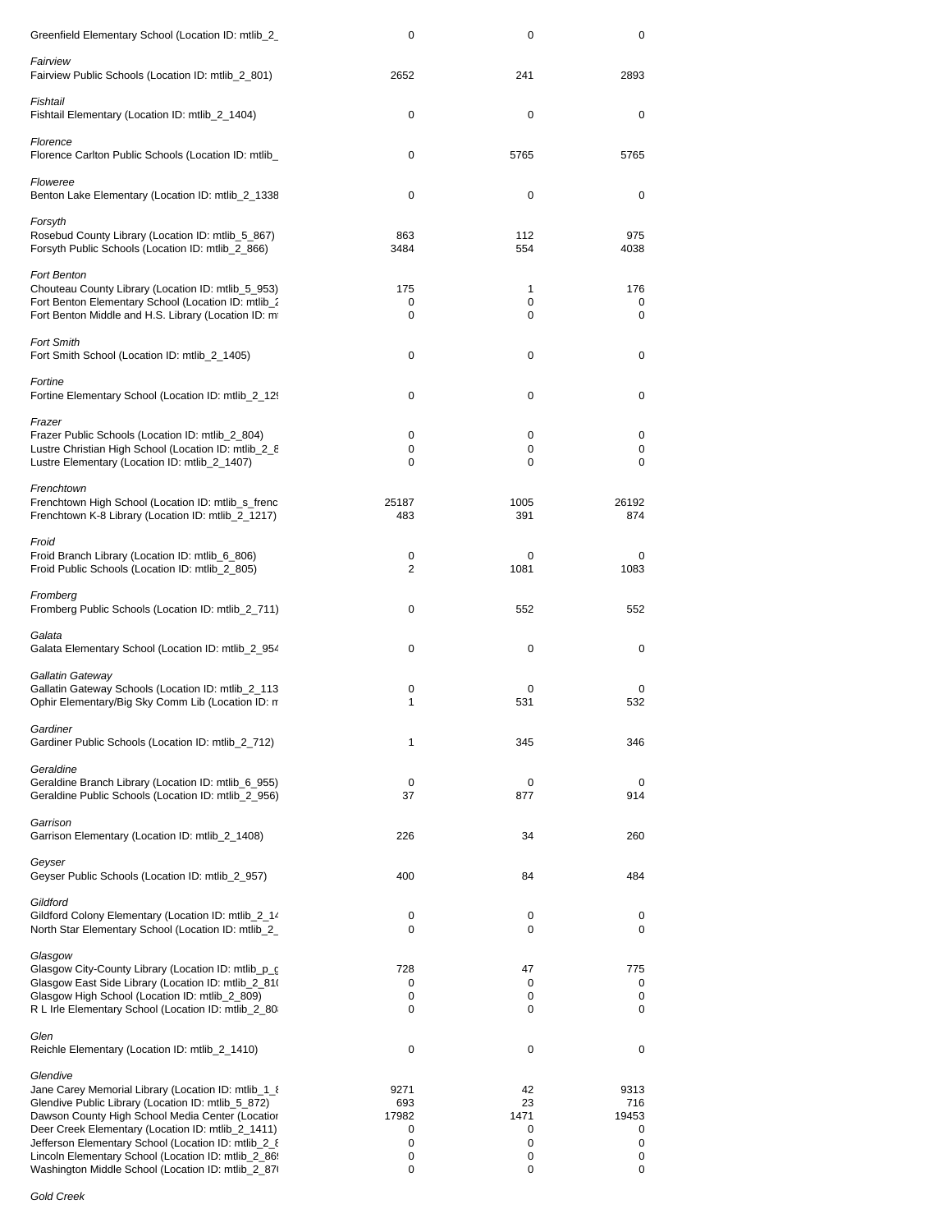| Greenfield Elementary School (Location ID: mtlib_2_                                                                                                                                                                                                                                                                                                                                                 | 0                                        | 0                                    | 0                                        |
|-----------------------------------------------------------------------------------------------------------------------------------------------------------------------------------------------------------------------------------------------------------------------------------------------------------------------------------------------------------------------------------------------------|------------------------------------------|--------------------------------------|------------------------------------------|
| Fairview<br>Fairview Public Schools (Location ID: mtlib_2_801)                                                                                                                                                                                                                                                                                                                                      | 2652                                     | 241                                  | 2893                                     |
| Fishtail<br>Fishtail Elementary (Location ID: mtlib_2_1404)                                                                                                                                                                                                                                                                                                                                         | 0                                        | 0                                    | 0                                        |
| Florence<br>Florence Carlton Public Schools (Location ID: mtlib_                                                                                                                                                                                                                                                                                                                                    | 0                                        | 5765                                 | 5765                                     |
| Floweree<br>Benton Lake Elementary (Location ID: mtlib_2_1338                                                                                                                                                                                                                                                                                                                                       | 0                                        | 0                                    | 0                                        |
| Forsyth<br>Rosebud County Library (Location ID: mtlib_5_867)<br>Forsyth Public Schools (Location ID: mtlib_2_866)                                                                                                                                                                                                                                                                                   | 863<br>3484                              | 112<br>554                           | 975<br>4038                              |
| <b>Fort Benton</b><br>Chouteau County Library (Location ID: mtlib_5_953)<br>Fort Benton Elementary School (Location ID: mtlib_2<br>Fort Benton Middle and H.S. Library (Location ID: m                                                                                                                                                                                                              | 175<br>0<br>0                            | 1<br>0<br>0                          | 176<br>0<br>0                            |
| <b>Fort Smith</b><br>Fort Smith School (Location ID: mtlib_2_1405)                                                                                                                                                                                                                                                                                                                                  | 0                                        | 0                                    | 0                                        |
| Fortine<br>Fortine Elementary School (Location ID: mtlib_2_129                                                                                                                                                                                                                                                                                                                                      | 0                                        | 0                                    | 0                                        |
| Frazer<br>Frazer Public Schools (Location ID: mtlib_2_804)<br>Lustre Christian High School (Location ID: mtlib_2_8<br>Lustre Elementary (Location ID: mtlib_2_1407)                                                                                                                                                                                                                                 | 0<br>0<br>0                              | 0<br>0<br>0                          | 0<br>0<br>0                              |
| Frenchtown<br>Frenchtown High School (Location ID: mtlib_s_frenc<br>Frenchtown K-8 Library (Location ID: mtlib_2_1217)                                                                                                                                                                                                                                                                              | 25187<br>483                             | 1005<br>391                          | 26192<br>874                             |
| Froid<br>Froid Branch Library (Location ID: mtlib_6_806)<br>Froid Public Schools (Location ID: mtlib_2_805)                                                                                                                                                                                                                                                                                         | 0<br>2                                   | 0<br>1081                            | 0<br>1083                                |
| Fromberg<br>Fromberg Public Schools (Location ID: mtlib_2_711)                                                                                                                                                                                                                                                                                                                                      | 0                                        | 552                                  | 552                                      |
| Galata<br>Galata Elementary School (Location ID: mtlib_2_954                                                                                                                                                                                                                                                                                                                                        | 0                                        | 0                                    | 0                                        |
| Gallatin Gateway<br>Gallatin Gateway Schools (Location ID: mtlib 2 113<br>Ophir Elementary/Big Sky Comm Lib (Location ID: n                                                                                                                                                                                                                                                                         | 0<br>1                                   | 0<br>531                             | 0<br>532                                 |
| Gardiner<br>Gardiner Public Schools (Location ID: mtlib_2_712)                                                                                                                                                                                                                                                                                                                                      | 1                                        | 345                                  | 346                                      |
| Geraldine<br>Geraldine Branch Library (Location ID: mtlib_6_955)<br>Geraldine Public Schools (Location ID: mtlib_2_956)                                                                                                                                                                                                                                                                             | 0<br>37                                  | 0<br>877                             | 0<br>914                                 |
| Garrison<br>Garrison Elementary (Location ID: mtlib_2_1408)                                                                                                                                                                                                                                                                                                                                         | 226                                      | 34                                   | 260                                      |
| Geyser<br>Geyser Public Schools (Location ID: mtlib_2_957)                                                                                                                                                                                                                                                                                                                                          | 400                                      | 84                                   | 484                                      |
| Gildford<br>Gildford Colony Elementary (Location ID: mtlib_2_14<br>North Star Elementary School (Location ID: mtlib_2_                                                                                                                                                                                                                                                                              | 0<br>0                                   | 0<br>0                               | 0<br>0                                   |
| Glasgow<br>Glasgow City-County Library (Location ID: mtlib_p_c<br>Glasgow East Side Library (Location ID: mtlib_2_81(<br>Glasgow High School (Location ID: mtlib_2_809)<br>R L Irle Elementary School (Location ID: mtlib_2_80                                                                                                                                                                      | 728<br>0<br>0<br>0                       | 47<br>0<br>0<br>0                    | 775<br>0<br>0<br>0                       |
| Glen<br>Reichle Elementary (Location ID: mtlib_2_1410)                                                                                                                                                                                                                                                                                                                                              | 0                                        | 0                                    | 0                                        |
| Glendive<br>Jane Carey Memorial Library (Location ID: mtlib_1_8)<br>Glendive Public Library (Location ID: mtlib_5_872)<br>Dawson County High School Media Center (Locatior<br>Deer Creek Elementary (Location ID: mtlib_2_1411)<br>Jefferson Elementary School (Location ID: mtlib_2_8<br>Lincoln Elementary School (Location ID: mtlib_2_86!<br>Washington Middle School (Location ID: mtlib_2_87) | 9271<br>693<br>17982<br>0<br>0<br>0<br>0 | 42<br>23<br>1471<br>0<br>0<br>0<br>0 | 9313<br>716<br>19453<br>0<br>0<br>0<br>0 |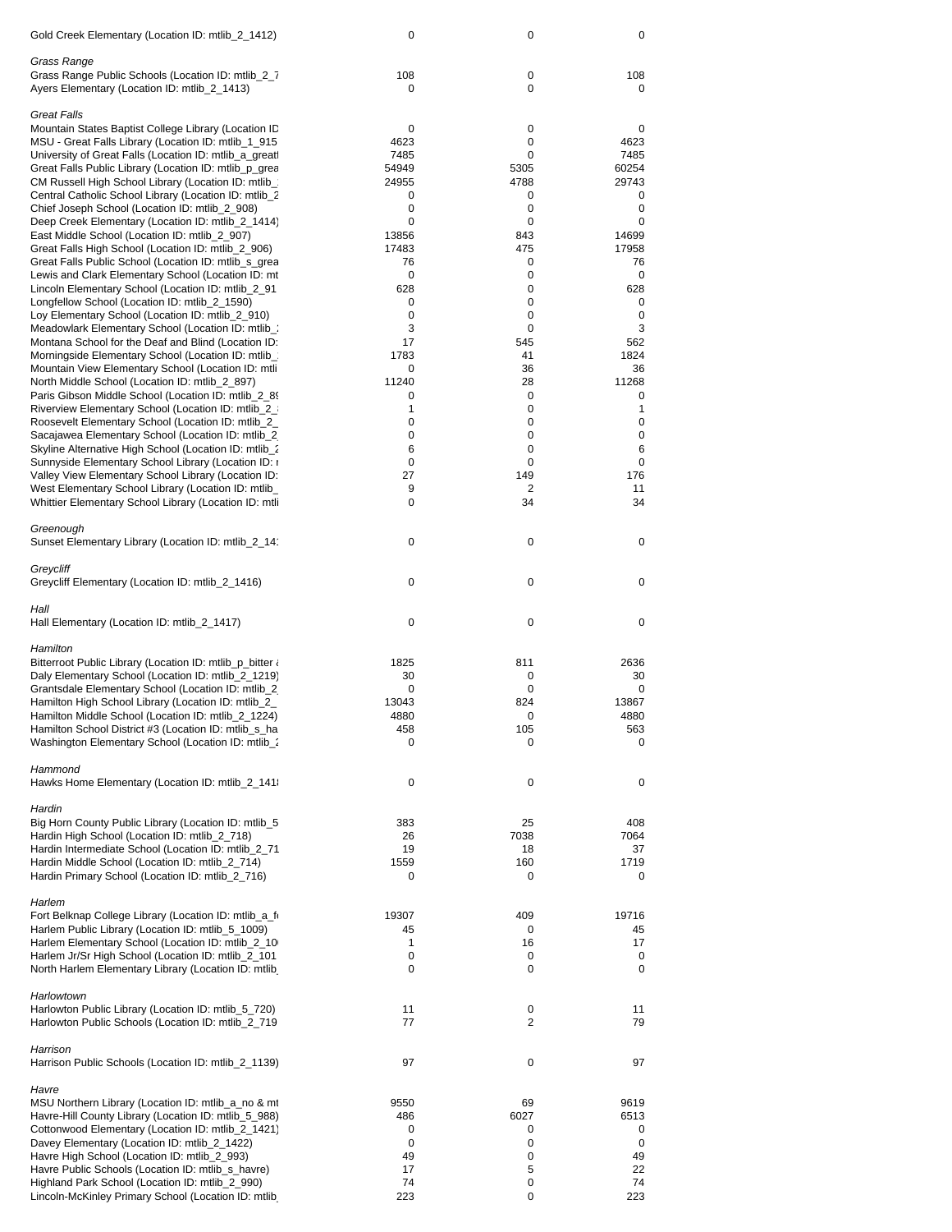| Gold Creek Elementary (Location ID: mtlib_2_1412)                                                             | 0         | 0          | 0            |
|---------------------------------------------------------------------------------------------------------------|-----------|------------|--------------|
| Grass Range                                                                                                   |           |            |              |
| Grass Range Public Schools (Location ID: mtlib_2_7<br>Ayers Elementary (Location ID: mtlib_2_1413)            | 108<br>0  | 0<br>0     | 108<br>0     |
| <b>Great Falls</b>                                                                                            |           |            |              |
| Mountain States Baptist College Library (Location ID                                                          | 0<br>4623 | 0<br>0     | 0            |
| MSU - Great Falls Library (Location ID: mtlib_1_915<br>University of Great Falls (Location ID: mtlib_a_greatl | 7485      | 0          | 4623<br>7485 |
| Great Falls Public Library (Location ID: mtlib_p_grea                                                         | 54949     | 5305       | 60254        |
| CM Russell High School Library (Location ID: mtlib_                                                           | 24955     | 4788       | 29743        |
| Central Catholic School Library (Location ID: mtlib_2                                                         | 0         | 0          | 0            |
| Chief Joseph School (Location ID: mtlib_2_908)                                                                | 0         | 0          | 0            |
| Deep Creek Elementary (Location ID: mtlib_2_1414)                                                             | 0         | 0          | 0            |
| East Middle School (Location ID: mtlib_2_907)                                                                 | 13856     | 843        | 14699        |
| Great Falls High School (Location ID: mtlib_2_906)                                                            | 17483     | 475        | 17958        |
| Great Falls Public School (Location ID: mtlib_s_grea                                                          | 76        | 0          | 76           |
| Lewis and Clark Elementary School (Location ID: mt                                                            | 0         | 0          | 0            |
| Lincoln Elementary School (Location ID: mtlib_2_91<br>Longfellow School (Location ID: mtlib_2_1590)           | 628<br>0  | 0<br>0     | 628<br>0     |
| Loy Elementary School (Location ID: mtlib_2_910)                                                              | 0         | 0          | 0            |
| Meadowlark Elementary School (Location ID: mtlib_:                                                            | 3         | 0          | 3            |
| Montana School for the Deaf and Blind (Location ID:                                                           | 17        | 545        | 562          |
| Morningside Elementary School (Location ID: mtlib_                                                            | 1783      | 41         | 1824         |
| Mountain View Elementary School (Location ID: mtli                                                            | 0         | 36         | 36           |
| North Middle School (Location ID: mtlib_2_897)                                                                | 11240     | 28         | 11268        |
| Paris Gibson Middle School (Location ID: mtlib_2_89)                                                          | 0         | 0          | 0            |
| Riverview Elementary School (Location ID: mtlib_2_                                                            | 1         | 0          | 1            |
| Roosevelt Elementary School (Location ID: mtlib_2_                                                            | 0         | 0          | 0            |
| Sacajawea Elementary School (Location ID: mtlib_2)                                                            | 0         | 0          | 0            |
| Skyline Alternative High School (Location ID: mtlib_2<br>Sunnyside Elementary School Library (Location ID: 1  | 6<br>0    | 0<br>0     | 6<br>0       |
| Valley View Elementary School Library (Location ID:                                                           | 27        | 149        | 176          |
| West Elementary School Library (Location ID: mtlib_                                                           | 9         | 2          | 11           |
| Whittier Elementary School Library (Location ID: mtli                                                         | 0         | 34         | 34           |
| Greenough                                                                                                     |           |            |              |
| Sunset Elementary Library (Location ID: mtlib_2_14                                                            | 0         | 0          | 0            |
|                                                                                                               |           |            |              |
| Greycliff<br>Greycliff Elementary (Location ID: mtlib_2_1416)                                                 | 0         | 0          | 0            |
| Hall                                                                                                          |           |            |              |
| Hall Elementary (Location ID: mtlib_2_1417)                                                                   | 0         | 0          | 0            |
| Hamilton                                                                                                      |           |            |              |
| Bitterroot Public Library (Location ID: mtlib_p_bitter $\lambda$                                              | 1825      | 811        | 2636         |
| Daly Elementary School (Location ID: mtlib_2_1219)                                                            | 30        | 0          | 30           |
| Grantsdale Elementary School (Location ID: mtlib_2)                                                           | 0         | 0          | 0            |
| Hamilton High School Library (Location ID: mtlib_2_                                                           | 13043     | 824        | 13867        |
| Hamilton Middle School (Location ID: mtlib 2 1224)                                                            | 4880      | 0          | 4880         |
| Hamilton School District #3 (Location ID: mtlib_s_ha                                                          | 458       | 105        | 563          |
| Washington Elementary School (Location ID: mtlib :                                                            | 0         | 0          | 0            |
| Hammond                                                                                                       |           |            |              |
| Hawks Home Elementary (Location ID: mtlib_2_141                                                               | 0         | 0          | 0            |
| Hardin                                                                                                        |           |            |              |
| Big Horn County Public Library (Location ID: mtlib_5                                                          | 383       | 25         | 408          |
| Hardin High School (Location ID: mtlib_2_718)<br>Hardin Intermediate School (Location ID: mtlib_2_71          | 26<br>19  | 7038<br>18 | 7064<br>37   |
| Hardin Middle School (Location ID: mtlib_2_714)                                                               | 1559      | 160        | 1719         |
| Hardin Primary School (Location ID: mtlib_2_716)                                                              | 0         | 0          | 0            |
|                                                                                                               |           |            |              |
| Harlem<br>Fort Belknap College Library (Location ID: mtlib_a_fi                                               | 19307     | 409        | 19716        |
| Harlem Public Library (Location ID: mtlib_5_1009)                                                             | 45        | 0          | 45           |
| Harlem Elementary School (Location ID: mtlib_2_10                                                             | 1         | 16         | 17           |
| Harlem Jr/Sr High School (Location ID: mtlib_2_101                                                            | 0         | 0          | 0            |
| North Harlem Elementary Library (Location ID: mtlib                                                           | 0         | 0          | 0            |
| Harlowtown                                                                                                    |           |            |              |
| Harlowton Public Library (Location ID: mtlib_5_720)                                                           | 11        | 0          | 11           |
| Harlowton Public Schools (Location ID: mtlib_2_719                                                            | 77        | 2          | 79           |
| Harrison                                                                                                      |           |            |              |
| Harrison Public Schools (Location ID: mtlib_2_1139)                                                           | 97        | $\pmb{0}$  | 97           |
| Havre                                                                                                         |           |            |              |
| MSU Northern Library (Location ID: mtlib_a_no & mt                                                            | 9550      | 69         | 9619         |
| Havre-Hill County Library (Location ID: mtlib_5_988)                                                          | 486       | 6027       | 6513         |
| Cottonwood Elementary (Location ID: mtlib_2_1421)                                                             | 0         | 0          | 0            |
| Davey Elementary (Location ID: mtlib_2_1422)                                                                  | 0         | 0          | 0            |
| Havre High School (Location ID: mtlib_2_993)                                                                  | 49<br>17  | 0<br>5     | 49           |
| Havre Public Schools (Location ID: mtlib_s_havre)<br>Highland Park School (Location ID: mtlib_2_990)          | 74        | 0          | 22<br>74     |
| Lincoln-McKinley Primary School (Location ID: mtlib                                                           | 223       | 0          | 223          |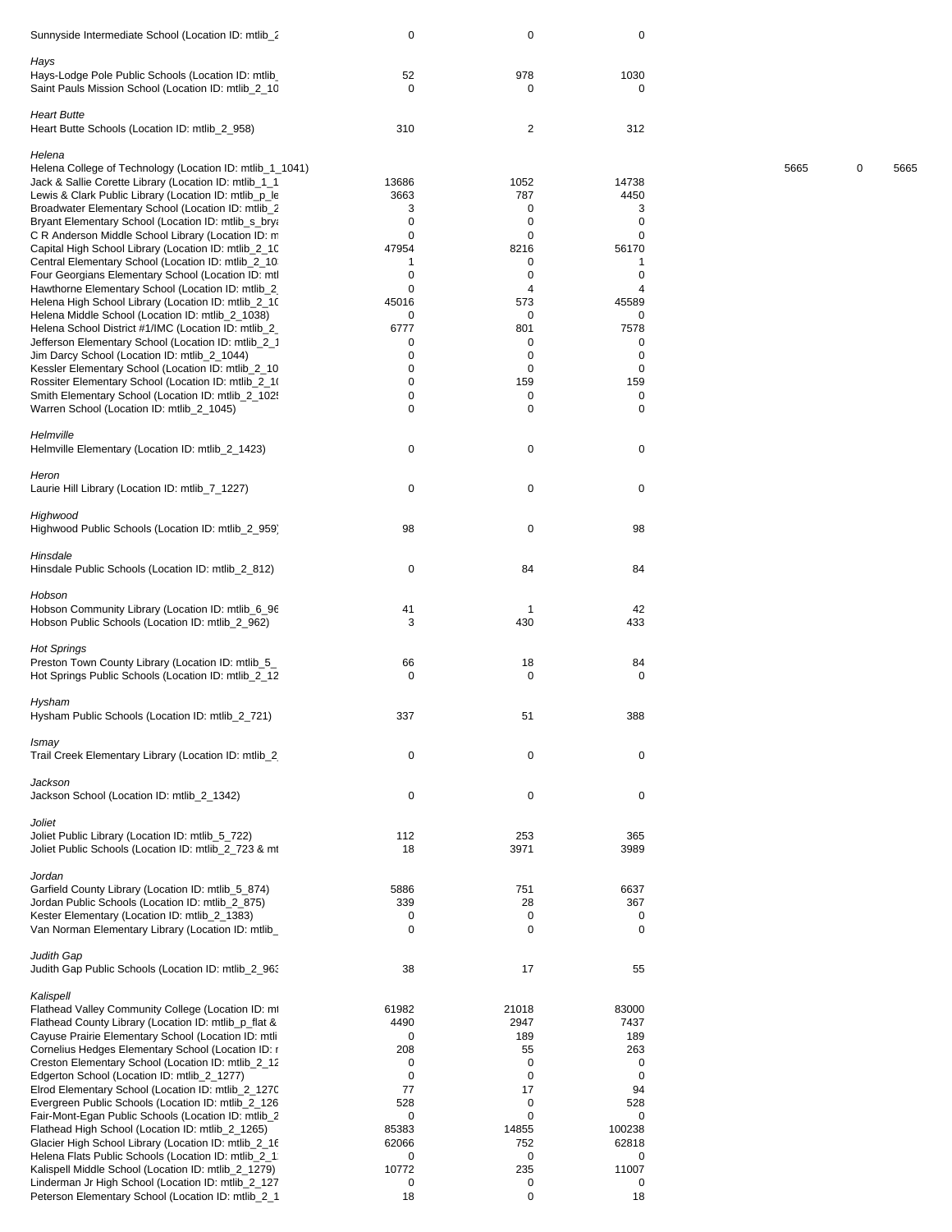| Sunnyside Intermediate School (Location ID: mtlib_2                                                         | $\mathbf 0$       | $\pmb{0}$               | $\mathbf 0$        |      |   |      |
|-------------------------------------------------------------------------------------------------------------|-------------------|-------------------------|--------------------|------|---|------|
| Hays                                                                                                        |                   |                         |                    |      |   |      |
| Hays-Lodge Pole Public Schools (Location ID: mtlib<br>Saint Pauls Mission School (Location ID: mtlib_2_10   | 52<br>$\mathbf 0$ | 978<br>0                | 1030<br>0          |      |   |      |
| <b>Heart Butte</b>                                                                                          |                   |                         |                    |      |   |      |
| Heart Butte Schools (Location ID: mtlib_2_958)                                                              | 310               | $\overline{\mathbf{c}}$ | 312                |      |   |      |
| Helena                                                                                                      |                   |                         |                    |      |   |      |
| Helena College of Technology (Location ID: mtlib_1_1041)                                                    |                   |                         |                    | 5665 | 0 | 5665 |
| Jack & Sallie Corette Library (Location ID: mtlib_1_1                                                       | 13686             | 1052                    | 14738              |      |   |      |
| Lewis & Clark Public Library (Location ID: mtlib_p_le<br>Broadwater Elementary School (Location ID: mtlib_2 | 3663<br>3         | 787<br>0                | 4450<br>3          |      |   |      |
| Bryant Elementary School (Location ID: mtlib_s_brya                                                         | $\mathbf 0$       | 0                       | 0                  |      |   |      |
| C R Anderson Middle School Library (Location ID: m                                                          | 0                 | 0                       | 0                  |      |   |      |
| Capital High School Library (Location ID: mtlib_2_10                                                        | 47954             | 8216                    | 56170              |      |   |      |
| Central Elementary School (Location ID: mtlib_2_10)                                                         | -1                | 0                       | 1                  |      |   |      |
| Four Georgians Elementary School (Location ID: mtl                                                          | $\mathbf 0$       | $\mathbf 0$             | 0                  |      |   |      |
| Hawthorne Elementary School (Location ID: mtlib_2,                                                          | 0                 | 4<br>573                | 4                  |      |   |      |
| Helena High School Library (Location ID: mtlib_2_10<br>Helena Middle School (Location ID: mtlib_2_1038)     | 45016<br>0        | 0                       | 45589<br>0         |      |   |      |
| Helena School District #1/IMC (Location ID: mtlib_2_                                                        | 6777              | 801                     | 7578               |      |   |      |
| Jefferson Elementary School (Location ID: mtlib_2_1                                                         | 0                 | 0                       | 0                  |      |   |      |
| Jim Darcy School (Location ID: mtlib_2_1044)                                                                | 0                 | 0                       | 0                  |      |   |      |
| Kessler Elementary School (Location ID: mtlib_2_10                                                          | $\mathbf 0$       | $\mathbf 0$             | 0                  |      |   |      |
| Rossiter Elementary School (Location ID: mtlib_2_10                                                         | 0                 | 159                     | 159                |      |   |      |
| Smith Elementary School (Location ID: mtlib_2_102!                                                          | 0                 | 0                       | 0                  |      |   |      |
| Warren School (Location ID: mtlib_2_1045)                                                                   | 0                 | 0                       | $\mathbf 0$        |      |   |      |
| Helmville                                                                                                   |                   |                         |                    |      |   |      |
| Helmville Elementary (Location ID: mtlib_2_1423)                                                            | 0                 | 0                       | 0                  |      |   |      |
|                                                                                                             |                   |                         |                    |      |   |      |
| Heron                                                                                                       |                   |                         |                    |      |   |      |
| Laurie Hill Library (Location ID: mtlib_7_1227)                                                             | 0                 | 0                       | 0                  |      |   |      |
|                                                                                                             |                   |                         |                    |      |   |      |
| Highwood                                                                                                    |                   |                         |                    |      |   |      |
| Highwood Public Schools (Location ID: mtlib_2_959)                                                          | 98                | 0                       | 98                 |      |   |      |
| Hinsdale                                                                                                    |                   |                         |                    |      |   |      |
| Hinsdale Public Schools (Location ID: mtlib_2_812)                                                          | 0                 | 84                      | 84                 |      |   |      |
|                                                                                                             |                   |                         |                    |      |   |      |
| Hobson                                                                                                      |                   |                         |                    |      |   |      |
| Hobson Community Library (Location ID: mtlib_6_96                                                           | 41                | $\mathbf{1}$            | 42                 |      |   |      |
| Hobson Public Schools (Location ID: mtlib_2_962)                                                            | 3                 | 430                     | 433                |      |   |      |
|                                                                                                             |                   |                         |                    |      |   |      |
| <b>Hot Springs</b><br>Preston Town County Library (Location ID: mtlib_5_                                    | 66                | 18                      | 84                 |      |   |      |
| Hot Springs Public Schools (Location ID: mtlib_2_12                                                         | 0                 | 0                       | 0                  |      |   |      |
|                                                                                                             |                   |                         |                    |      |   |      |
| Hysham                                                                                                      |                   |                         |                    |      |   |      |
| Hysham Public Schools (Location ID: mtlib_2_721)                                                            | 337               | 51                      | 388                |      |   |      |
|                                                                                                             |                   |                         |                    |      |   |      |
| Ismay                                                                                                       |                   |                         |                    |      |   |      |
| Trail Creek Elementary Library (Location ID: mtlib 2                                                        | 0                 | 0                       | 0                  |      |   |      |
| Jackson                                                                                                     |                   |                         |                    |      |   |      |
| Jackson School (Location ID: mtlib 2 1342)                                                                  | $\mathbf 0$       | 0                       | $\mathbf 0$        |      |   |      |
|                                                                                                             |                   |                         |                    |      |   |      |
| Joliet                                                                                                      |                   |                         |                    |      |   |      |
| Joliet Public Library (Location ID: mtlib_5_722)                                                            | 112               | 253                     | 365                |      |   |      |
| Joliet Public Schools (Location ID: mtlib 2 723 & mt                                                        | 18                | 3971                    | 3989               |      |   |      |
| Jordan                                                                                                      |                   |                         |                    |      |   |      |
| Garfield County Library (Location ID: mtlib_5_874)                                                          | 5886              | 751                     | 6637               |      |   |      |
| Jordan Public Schools (Location ID: mtlib_2_875)                                                            | 339               | 28                      | 367                |      |   |      |
| Kester Elementary (Location ID: mtlib_2_1383)                                                               | 0                 | 0                       | 0                  |      |   |      |
| Van Norman Elementary Library (Location ID: mtlib_                                                          | 0                 | 0                       | 0                  |      |   |      |
|                                                                                                             |                   |                         |                    |      |   |      |
| Judith Gap                                                                                                  |                   |                         |                    |      |   |      |
| Judith Gap Public Schools (Location ID: mtlib_2_963                                                         | 38                | 17                      | 55                 |      |   |      |
| Kalispell                                                                                                   |                   |                         |                    |      |   |      |
| Flathead Valley Community College (Location ID: mt                                                          | 61982             | 21018                   | 83000              |      |   |      |
| Flathead County Library (Location ID: mtlib_p_flat &                                                        | 4490              | 2947                    | 7437               |      |   |      |
| Cayuse Prairie Elementary School (Location ID: mtli                                                         | 0                 | 189                     | 189                |      |   |      |
| Cornelius Hedges Elementary School (Location ID: r                                                          | 208               | 55                      | 263                |      |   |      |
| Creston Elementary School (Location ID: mtlib_2_12                                                          | 0                 | $\mathbf 0$             | 0                  |      |   |      |
| Edgerton School (Location ID: mtlib_2_1277)                                                                 | $\mathbf 0$       | 0                       | $\mathbf 0$        |      |   |      |
| Elrod Elementary School (Location ID: mtlib_2_1270                                                          | 77                | 17                      | 94                 |      |   |      |
| Evergreen Public Schools (Location ID: mtlib_2_126                                                          | 528               | 0                       | 528                |      |   |      |
| Fair-Mont-Egan Public Schools (Location ID: mtlib_2<br>Flathead High School (Location ID: mtlib_2_1265)     | 0<br>85383        | 0<br>14855              | $\Omega$<br>100238 |      |   |      |
| Glacier High School Library (Location ID: mtlib_2_16                                                        | 62066             | 752                     | 62818              |      |   |      |
| Helena Flats Public Schools (Location ID: mtlib_2_1.                                                        | 0                 | 0                       | 0                  |      |   |      |
| Kalispell Middle School (Location ID: mtlib_2_1279)                                                         | 10772             | 235                     | 11007              |      |   |      |
| Linderman Jr High School (Location ID: mtlib_2_127                                                          | 0                 | 0                       | 0                  |      |   |      |
| Peterson Elementary School (Location ID: mtlib_2_1                                                          | 18                | 0                       | 18                 |      |   |      |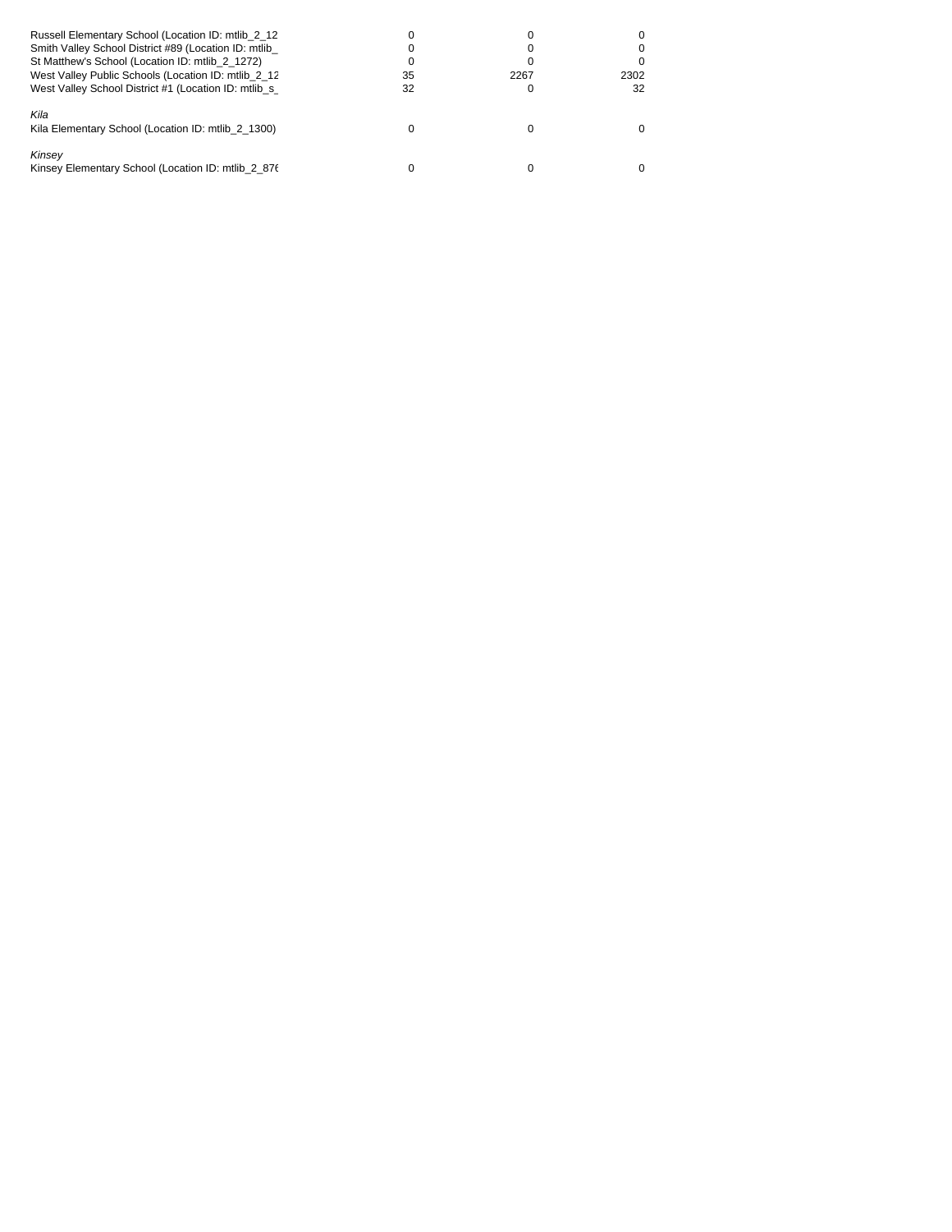| Russell Elementary School (Location ID: mtlib 2 12<br>Smith Valley School District #89 (Location ID: mtlib<br>St Matthew's School (Location ID: mtlib 2 1272)<br>West Valley Public Schools (Location ID: mtlib 2 12<br>West Valley School District #1 (Location ID: mtlib_s_ | 35<br>32 | 2267 | 2302<br>32 |
|-------------------------------------------------------------------------------------------------------------------------------------------------------------------------------------------------------------------------------------------------------------------------------|----------|------|------------|
| Kila<br>Kila Elementary School (Location ID: mtlib 2 1300)                                                                                                                                                                                                                    |          |      |            |
| Kinsey<br>Kinsey Elementary School (Location ID: mtlib 2 876                                                                                                                                                                                                                  |          |      |            |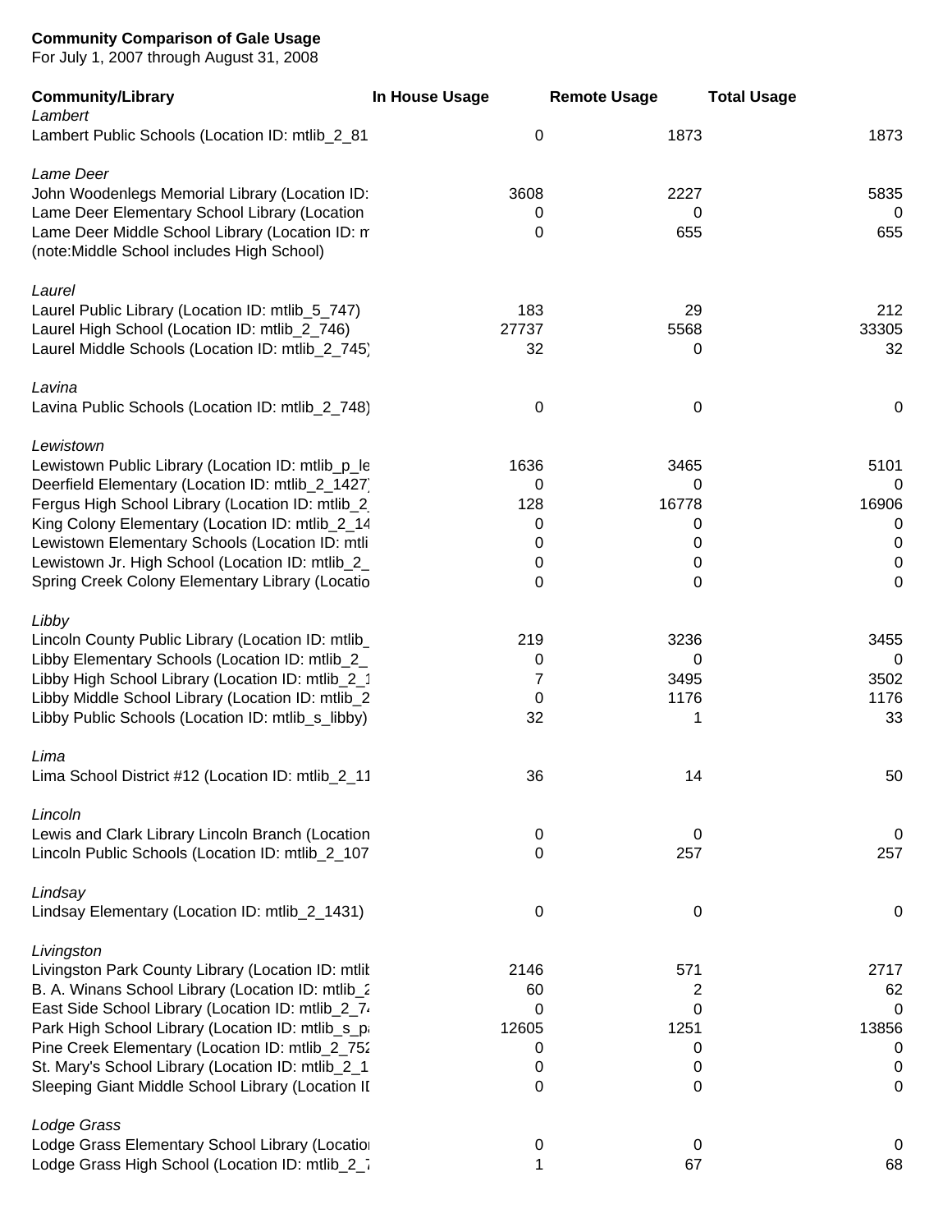For July 1, 2007 through August 31, 2008

| <b>Community/Library</b><br>Lambert                                                                                                                   | In House Usage     | <b>Remote Usage</b> | <b>Total Usage</b>          |
|-------------------------------------------------------------------------------------------------------------------------------------------------------|--------------------|---------------------|-----------------------------|
| Lambert Public Schools (Location ID: mtlib_2_81                                                                                                       | $\mathbf 0$        | 1873                | 1873                        |
| Lame Deer<br>John Woodenlegs Memorial Library (Location ID:                                                                                           | 3608               | 2227                | 5835                        |
| Lame Deer Elementary School Library (Location<br>Lame Deer Middle School Library (Location ID: n<br>(note: Middle School includes High School)        | 0<br>0             | 0<br>655            | 0<br>655                    |
| Laurel                                                                                                                                                |                    |                     |                             |
| Laurel Public Library (Location ID: mtlib_5_747)<br>Laurel High School (Location ID: mtlib_2_746)<br>Laurel Middle Schools (Location ID: mtlib_2_745) | 183<br>27737<br>32 | 29<br>5568<br>0     | 212<br>33305<br>32          |
| Lavina                                                                                                                                                |                    |                     |                             |
| Lavina Public Schools (Location ID: mtlib_2_748)                                                                                                      | $\mathbf 0$        | 0                   | 0                           |
| Lewistown                                                                                                                                             |                    |                     |                             |
| Lewistown Public Library (Location ID: mtlib_p_le<br>Deerfield Elementary (Location ID: mtlib_2_1427)                                                 | 1636<br>0          | 3465<br>0           | 5101<br>0                   |
| Fergus High School Library (Location ID: mtlib_2                                                                                                      | 128                | 16778               | 16906                       |
| King Colony Elementary (Location ID: mtlib_2_14<br>Lewistown Elementary Schools (Location ID: mtli                                                    | 0<br>0             | 0<br>0              | $\overline{0}$<br>$\pmb{0}$ |
| Lewistown Jr. High School (Location ID: mtlib_2_                                                                                                      | 0                  | 0                   | $\pmb{0}$                   |
| Spring Creek Colony Elementary Library (Locatio                                                                                                       | 0                  | 0                   | $\mathbf 0$                 |
| Libby                                                                                                                                                 |                    |                     |                             |
| Lincoln County Public Library (Location ID: mtlib_                                                                                                    | 219                | 3236                | 3455                        |
| Libby Elementary Schools (Location ID: mtlib_2_<br>Libby High School Library (Location ID: mtlib_2_1                                                  | 0<br>7             | 0<br>3495           | $\mathbf 0$<br>3502         |
| Libby Middle School Library (Location ID: mtlib_2                                                                                                     | 0                  | 1176                | 1176                        |
| Libby Public Schools (Location ID: mtlib_s_libby)                                                                                                     | 32                 | 1                   | 33                          |
| Lima                                                                                                                                                  |                    |                     |                             |
| Lima School District #12 (Location ID: mtlib_2_11                                                                                                     | 36                 | 14                  | 50                          |
| Lincoln                                                                                                                                               |                    |                     |                             |
| Lewis and Clark Library Lincoln Branch (Location<br>Lincoln Public Schools (Location ID: mtlib_2_107                                                  | $\mathbf 0$<br>0   | 0<br>257            | 0<br>257                    |
|                                                                                                                                                       |                    |                     |                             |
| Lindsay<br>Lindsay Elementary (Location ID: mtlib_2_1431)                                                                                             | 0                  | $\mathbf 0$         | $\mathbf 0$                 |
| Livingston                                                                                                                                            |                    |                     |                             |
| Livingston Park County Library (Location ID: mtlit<br>B. A. Winans School Library (Location ID: mtlib_2                                               | 2146<br>60         | 571<br>2            | 2717<br>62                  |
| East Side School Library (Location ID: mtlib_2_7.                                                                                                     | 0                  | 0                   | 0                           |
| Park High School Library (Location ID: mtlib_s_p;                                                                                                     | 12605              | 1251                | 13856                       |
| Pine Creek Elementary (Location ID: mtlib_2_752                                                                                                       | 0                  | 0                   | 0                           |
| St. Mary's School Library (Location ID: mtlib_2_1<br>Sleeping Giant Middle School Library (Location II                                                | 0<br>0             | 0<br>0              | 0<br>0                      |
| Lodge Grass                                                                                                                                           |                    |                     |                             |
| Lodge Grass Elementary School Library (Locatior                                                                                                       | 0                  | 0                   | $\mathbf 0$                 |
| Lodge Grass High School (Location ID: mtlib_2_7                                                                                                       | 1                  | 67                  | 68                          |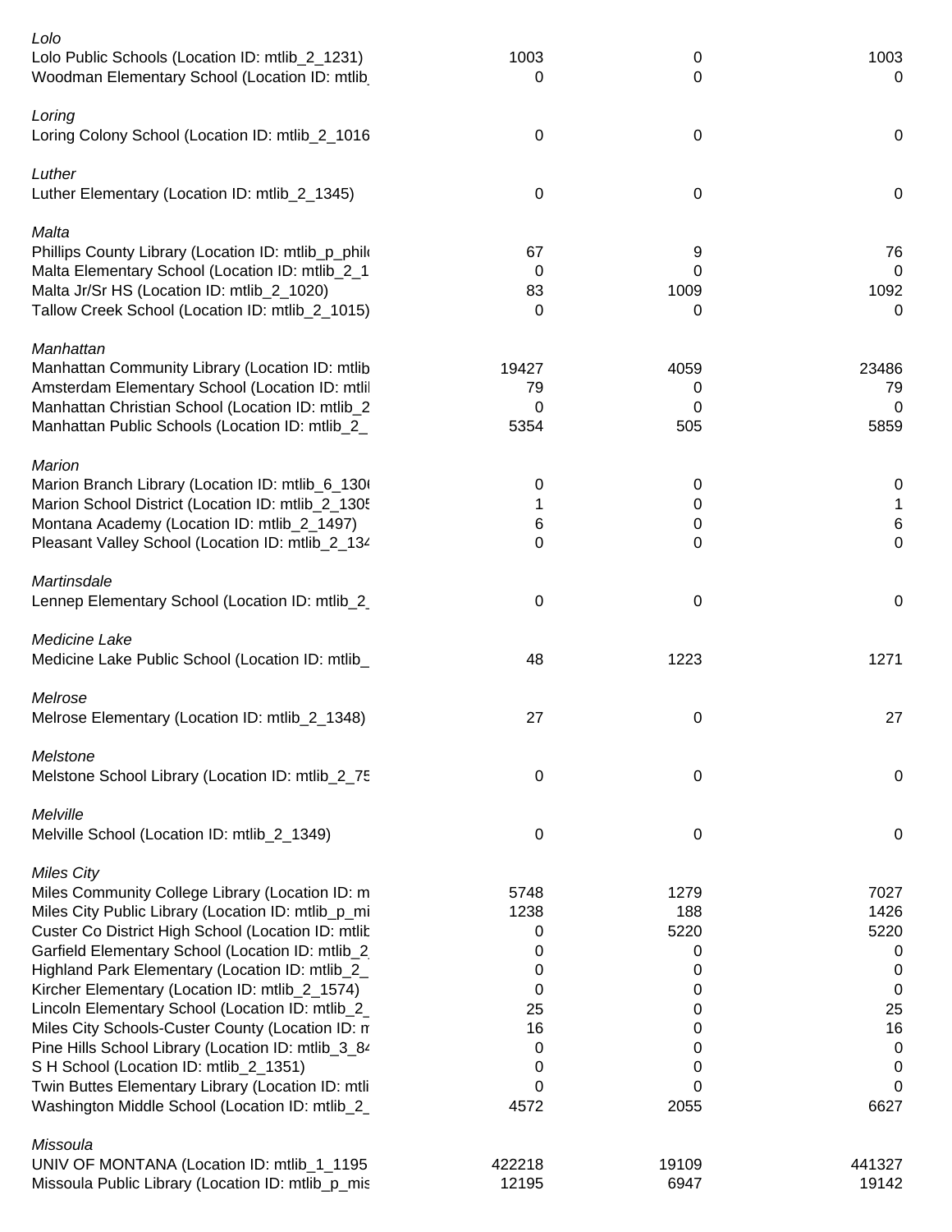| Lolo<br>Lolo Public Schools (Location ID: mtlib_2_1231)<br>Woodman Elementary School (Location ID: mtlib | 1003<br>0 | 0<br>0    | 1003<br>0      |
|----------------------------------------------------------------------------------------------------------|-----------|-----------|----------------|
| Loring<br>Loring Colony School (Location ID: mtlib_2_1016                                                | 0         | 0         | $\mathbf 0$    |
| Luther<br>Luther Elementary (Location ID: mtlib_2_1345)                                                  | 0         | 0         | $\mathbf 0$    |
|                                                                                                          |           |           |                |
| Malta<br>Phillips County Library (Location ID: mtlib_p_philo                                             | 67        | 9         | 76             |
| Malta Elementary School (Location ID: mtlib_2_1                                                          | 0         | 0         | $\overline{0}$ |
| Malta Jr/Sr HS (Location ID: mtlib_2_1020)                                                               | 83        | 1009      | 1092           |
| Tallow Creek School (Location ID: mtlib_2_1015)                                                          | 0         | 0         | 0              |
| Manhattan                                                                                                |           |           |                |
| Manhattan Community Library (Location ID: mtlib                                                          | 19427     | 4059      | 23486          |
| Amsterdam Elementary School (Location ID: mtlil                                                          | 79        | 0         | 79             |
| Manhattan Christian School (Location ID: mtlib_2                                                         | 0         | 0         | 0              |
| Manhattan Public Schools (Location ID: mtlib_2_                                                          | 5354      | 505       | 5859           |
| <b>Marion</b>                                                                                            |           |           |                |
| Marion Branch Library (Location ID: mtlib_6_1300                                                         | 0         | 0         | 0              |
| Marion School District (Location ID: mtlib_2_1305                                                        | 1         | 0         | 1              |
| Montana Academy (Location ID: mtlib_2_1497)                                                              | 6         | 0         | $\,6$          |
| Pleasant Valley School (Location ID: mtlib_2_134                                                         | 0         | 0         | $\mathbf 0$    |
| Martinsdale                                                                                              |           |           |                |
| Lennep Elementary School (Location ID: mtlib_2                                                           | 0         | 0         | $\mathbf 0$    |
| Medicine Lake                                                                                            |           |           |                |
| Medicine Lake Public School (Location ID: mtlib_                                                         | 48        | 1223      | 1271           |
| Melrose                                                                                                  |           |           |                |
| Melrose Elementary (Location ID: mtlib_2_1348)                                                           | 27        | 0         | 27             |
| Melstone                                                                                                 |           |           |                |
| Melstone School Library (Location ID: mtlib_2_75                                                         | 0         | 0         | $\mathbf 0$    |
| Melville                                                                                                 |           |           |                |
| Melville School (Location ID: mtlib_2_1349)                                                              | 0         | 0         | $\pmb{0}$      |
| <b>Miles City</b>                                                                                        |           |           |                |
| Miles Community College Library (Location ID: m                                                          | 5748      | 1279      | 7027           |
| Miles City Public Library (Location ID: mtlib_p_mi                                                       | 1238      | 188       | 1426           |
| Custer Co District High School (Location ID: mtlit                                                       | 0         | 5220      | 5220           |
| Garfield Elementary School (Location ID: mtlib_2                                                         | 0         | 0         | 0              |
| Highland Park Elementary (Location ID: mtlib_2_                                                          | 0         | 0         | 0              |
| Kircher Elementary (Location ID: mtlib_2_1574)                                                           | 0         | 0         | 0              |
| Lincoln Elementary School (Location ID: mtlib_2_                                                         | 25        | 0         | 25             |
| Miles City Schools-Custer County (Location ID: n                                                         | 16        | 0         | 16             |
| Pine Hills School Library (Location ID: mtlib_3_84                                                       | 0         | 0         | 0              |
| S H School (Location ID: mtlib_2_1351)                                                                   | 0         | 0         | $\pmb{0}$      |
| Twin Buttes Elementary Library (Location ID: mtli<br>Washington Middle School (Location ID: mtlib_2_     | 0<br>4572 | 0<br>2055 | 0<br>6627      |
|                                                                                                          |           |           |                |
| Missoula<br>UNIV OF MONTANA (Location ID: mtlib_1_1195                                                   | 422218    | 19109     | 441327         |
| Missoula Public Library (Location ID: mtlib_p_mis                                                        | 12195     | 6947      | 19142          |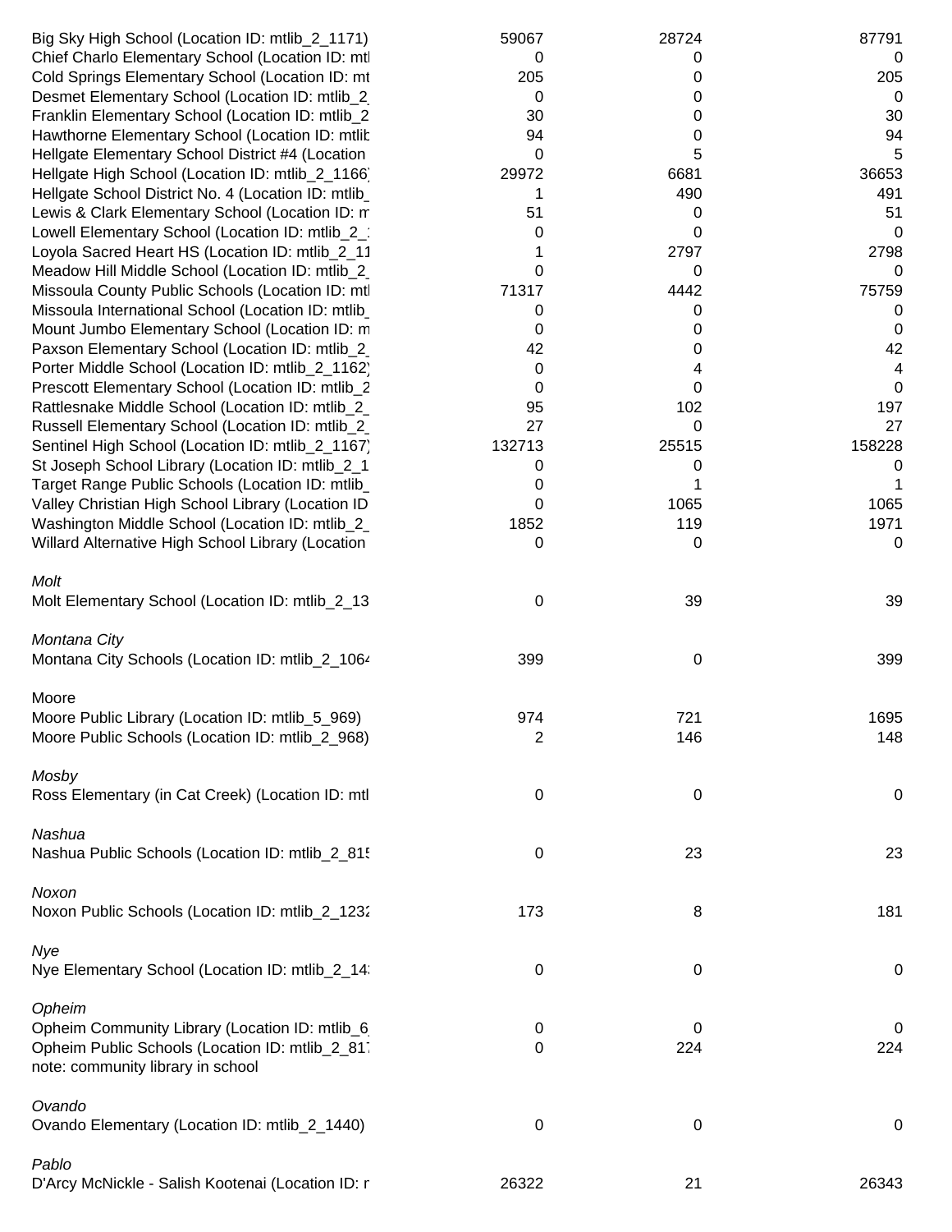| Big Sky High School (Location ID: mtlib_2_1171)                                                    | 59067          | 28724       | 87791       |
|----------------------------------------------------------------------------------------------------|----------------|-------------|-------------|
| Chief Charlo Elementary School (Location ID: mtl                                                   | 0              | 0           | 0           |
| Cold Springs Elementary School (Location ID: mt                                                    | 205            | 0           | 205         |
| Desmet Elementary School (Location ID: mtlib_2)                                                    | 0              | 0           | 0           |
| Franklin Elementary School (Location ID: mtlib_2                                                   | 30             | 0           | 30          |
| Hawthorne Elementary School (Location ID: mtlit                                                    | 94             | 0           | 94          |
| Hellgate Elementary School District #4 (Location                                                   | 0              | 5           | 5           |
| Hellgate High School (Location ID: mtlib_2_1166)                                                   | 29972          | 6681        | 36653       |
| Hellgate School District No. 4 (Location ID: mtlib_                                                | 1              | 490         | 491         |
| Lewis & Clark Elementary School (Location ID: m                                                    | 51             | 0           | 51          |
| Lowell Elementary School (Location ID: mtlib_2_                                                    | 0              | 0           | 0           |
| Loyola Sacred Heart HS (Location ID: mtlib_2_11                                                    | 1              | 2797        | 2798        |
| Meadow Hill Middle School (Location ID: mtlib_2                                                    | 0              | 0           | 0           |
| Missoula County Public Schools (Location ID: mtl                                                   | 71317          | 4442        | 75759       |
| Missoula International School (Location ID: mtlib_                                                 | 0              | 0           | 0           |
| Mount Jumbo Elementary School (Location ID: m                                                      | 0              | 0           | 0           |
| Paxson Elementary School (Location ID: mtlib_2                                                     | 42             | 0           | 42          |
| Porter Middle School (Location ID: mtlib_2_1162)                                                   | 0              | 4           | 4           |
| Prescott Elementary School (Location ID: mtlib_2                                                   | 0              | 0           | $\mathbf 0$ |
| Rattlesnake Middle School (Location ID: mtlib_2_                                                   | 95             | 102         | 197         |
| Russell Elementary School (Location ID: mtlib_2                                                    | 27             | 0           | 27          |
|                                                                                                    |                |             | 158228      |
| Sentinel High School (Location ID: mtlib_2_1167)                                                   | 132713         | 25515       |             |
| St Joseph School Library (Location ID: mtlib_2_1                                                   | 0              | 0           | 0           |
| Target Range Public Schools (Location ID: mtlib_                                                   | 0              |             | 1           |
| Valley Christian High School Library (Location ID                                                  | 0              | 1065        | 1065        |
| Washington Middle School (Location ID: mtlib_2_                                                    | 1852           | 119         | 1971        |
| Willard Alternative High School Library (Location                                                  | 0              | 0           | 0           |
|                                                                                                    |                |             |             |
| Molt                                                                                               |                |             |             |
| Molt Elementary School (Location ID: mtlib_2_13                                                    | 0              | 39          | 39          |
|                                                                                                    |                |             |             |
| Montana City                                                                                       |                |             |             |
| Montana City Schools (Location ID: mtlib_2_1064                                                    | 399            | 0           | 399         |
| Moore                                                                                              |                |             |             |
|                                                                                                    | 974            | 721         |             |
| Moore Public Library (Location ID: mtlib_5_969)<br>Moore Public Schools (Location ID: mtlib_2_968) | $\overline{2}$ |             | 1695<br>148 |
|                                                                                                    |                | 146         |             |
| Mosby                                                                                              |                |             |             |
| Ross Elementary (in Cat Creek) (Location ID: mtl                                                   | 0              | 0           | 0           |
|                                                                                                    |                |             |             |
| Nashua                                                                                             |                |             |             |
|                                                                                                    |                |             |             |
| Nashua Public Schools (Location ID: mtlib_2_815                                                    | 0              | 23          | 23          |
|                                                                                                    |                |             |             |
| Noxon                                                                                              |                |             |             |
| Noxon Public Schools (Location ID: mtlib_2_1232                                                    | 173            | 8           | 181         |
|                                                                                                    |                |             |             |
| Nye                                                                                                |                |             |             |
| Nye Elementary School (Location ID: mtlib_2_14                                                     | $\pmb{0}$      | $\mathbf 0$ | $\mathbf 0$ |
|                                                                                                    |                |             |             |
| Opheim                                                                                             |                |             |             |
| Opheim Community Library (Location ID: mtlib_6                                                     | 0              | 0           | 0           |
| Opheim Public Schools (Location ID: mtlib_2_81)                                                    | 0              | 224         | 224         |
| note: community library in school                                                                  |                |             |             |
| Ovando                                                                                             |                |             |             |
|                                                                                                    |                |             |             |
| Ovando Elementary (Location ID: mtlib_2_1440)                                                      | $\pmb{0}$      | $\mathbf 0$ | $\mathbf 0$ |
| Pablo                                                                                              |                |             |             |
| D'Arcy McNickle - Salish Kootenai (Location ID: r                                                  | 26322          | 21          | 26343       |
|                                                                                                    |                |             |             |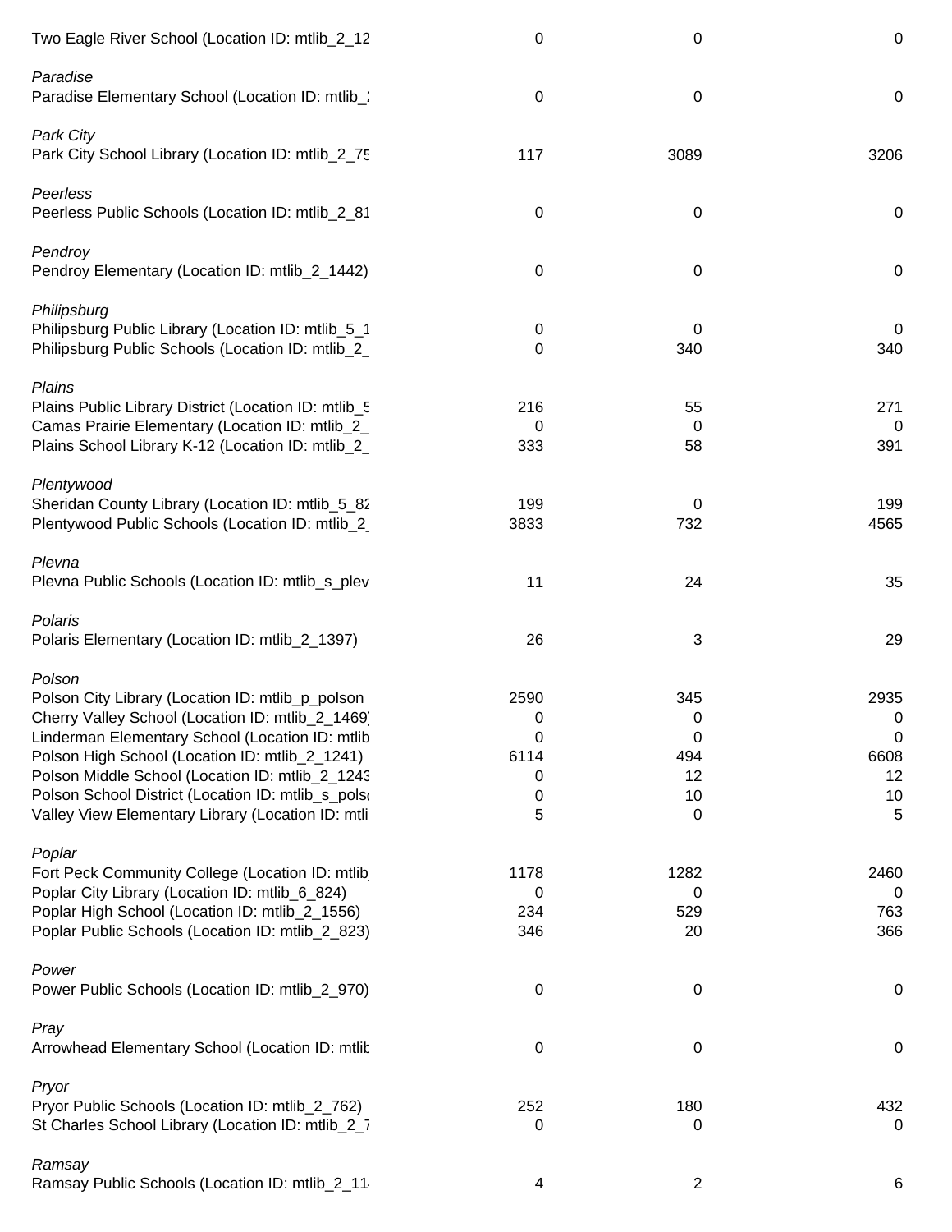| Two Eagle River School (Location ID: mtlib_2_12                                                                                                                                                                                                                                                                                                                                    | $\boldsymbol{0}$                      | 0                                            | $\pmb{0}$                               |
|------------------------------------------------------------------------------------------------------------------------------------------------------------------------------------------------------------------------------------------------------------------------------------------------------------------------------------------------------------------------------------|---------------------------------------|----------------------------------------------|-----------------------------------------|
| Paradise<br>Paradise Elementary School (Location ID: mtlib_:                                                                                                                                                                                                                                                                                                                       | $\pmb{0}$                             | 0                                            | $\mathbf 0$                             |
| <b>Park City</b><br>Park City School Library (Location ID: mtlib_2_75                                                                                                                                                                                                                                                                                                              | 117                                   | 3089                                         | 3206                                    |
| Peerless<br>Peerless Public Schools (Location ID: mtlib_2_81                                                                                                                                                                                                                                                                                                                       | 0                                     | 0                                            | $\mathbf 0$                             |
| Pendroy<br>Pendroy Elementary (Location ID: mtlib_2_1442)                                                                                                                                                                                                                                                                                                                          | 0                                     | 0                                            | $\mathbf 0$                             |
| Philipsburg<br>Philipsburg Public Library (Location ID: mtlib_5_1<br>Philipsburg Public Schools (Location ID: mtlib_2_                                                                                                                                                                                                                                                             | 0<br>0                                | 0<br>340                                     | 0<br>340                                |
| Plains<br>Plains Public Library District (Location ID: mtlib_5<br>Camas Prairie Elementary (Location ID: mtlib_2_<br>Plains School Library K-12 (Location ID: mtlib_2_                                                                                                                                                                                                             | 216<br>0<br>333                       | 55<br>0<br>58                                | 271<br>0<br>391                         |
| Plentywood<br>Sheridan County Library (Location ID: mtlib_5_82<br>Plentywood Public Schools (Location ID: mtlib_2                                                                                                                                                                                                                                                                  | 199<br>3833                           | 0<br>732                                     | 199<br>4565                             |
| Plevna<br>Plevna Public Schools (Location ID: mtlib_s_plev                                                                                                                                                                                                                                                                                                                         | 11                                    | 24                                           | 35                                      |
| Polaris<br>Polaris Elementary (Location ID: mtlib_2_1397)                                                                                                                                                                                                                                                                                                                          | 26                                    | 3                                            | 29                                      |
| Polson<br>Polson City Library (Location ID: mtlib_p_polson<br>Cherry Valley School (Location ID: mtlib_2_1469)<br>Linderman Elementary School (Location ID: mtlib<br>Polson High School (Location ID: mtlib_2_1241)<br>Polson Middle School (Location ID: mtlib_2_1243<br>Polson School District (Location ID: mtlib_s_polson<br>Valley View Elementary Library (Location ID: mtli | 2590<br>0<br>0<br>6114<br>0<br>0<br>5 | 345<br>$\Omega$<br>0<br>494<br>12<br>10<br>0 | 2935<br>0<br>0<br>6608<br>12<br>10<br>5 |
| Poplar<br>Fort Peck Community College (Location ID: mtlib)<br>Poplar City Library (Location ID: mtlib_6_824)<br>Poplar High School (Location ID: mtlib_2_1556)<br>Poplar Public Schools (Location ID: mtlib_2_823)                                                                                                                                                                 | 1178<br>0<br>234<br>346               | 1282<br>0<br>529<br>20                       | 2460<br>0<br>763<br>366                 |
| Power<br>Power Public Schools (Location ID: mtlib_2_970)                                                                                                                                                                                                                                                                                                                           | 0                                     | 0                                            | $\mathbf 0$                             |
| Pray<br>Arrowhead Elementary School (Location ID: mtlit                                                                                                                                                                                                                                                                                                                            | 0                                     | 0                                            | $\mathbf 0$                             |
| Pryor<br>Pryor Public Schools (Location ID: mtlib_2_762)<br>St Charles School Library (Location ID: mtlib_2_7                                                                                                                                                                                                                                                                      | 252<br>0                              | 180<br>0                                     | 432<br>0                                |
| Ramsay<br>Ramsay Public Schools (Location ID: mtlib_2_11                                                                                                                                                                                                                                                                                                                           | 4                                     | $\overline{2}$                               | 6                                       |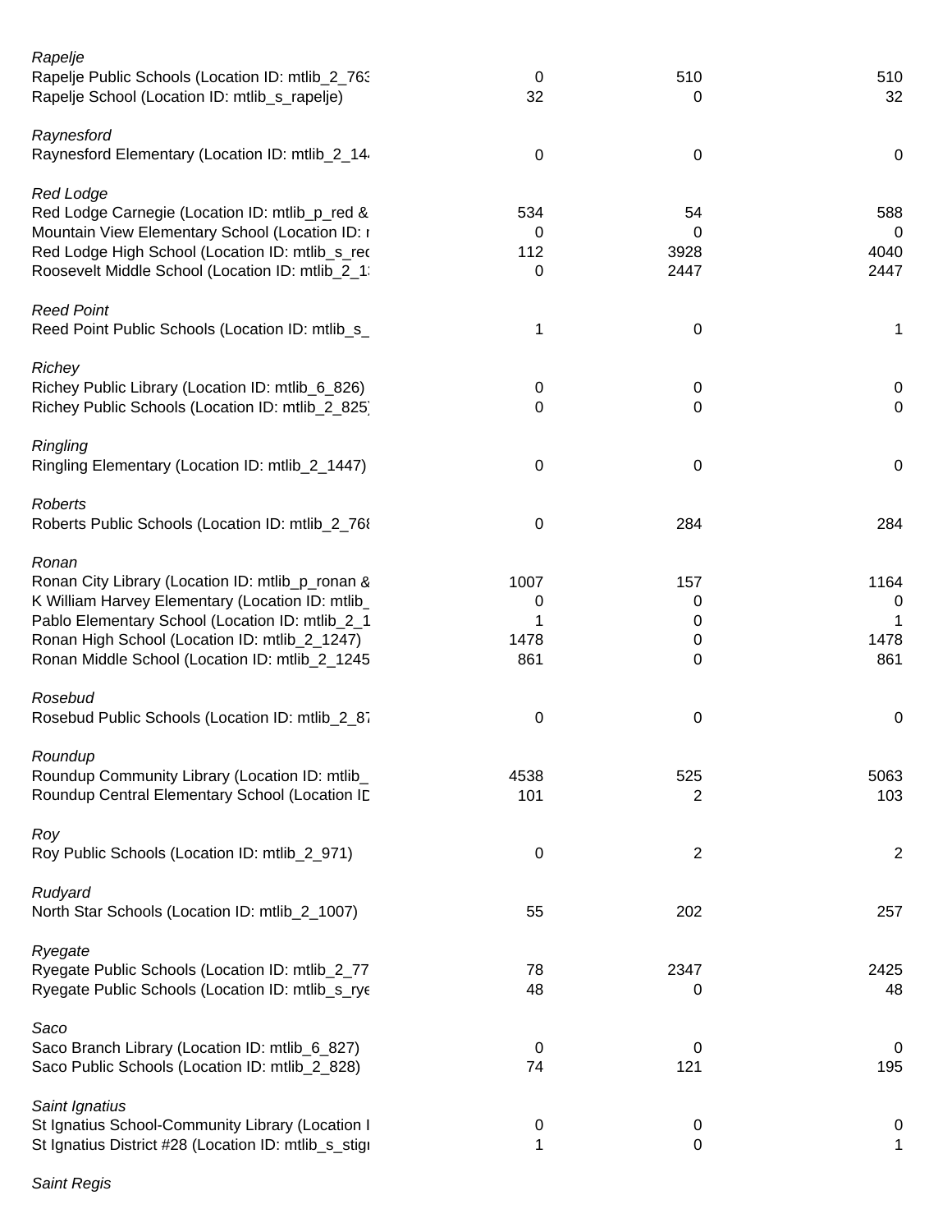| Rapelje<br>Rapelje Public Schools (Location ID: mtlib_2_763)<br>Rapelje School (Location ID: mtlib_s_rapelje)                                                                                                                                                       | 0<br>32                       | 510<br>0                        | 510<br>32                |
|---------------------------------------------------------------------------------------------------------------------------------------------------------------------------------------------------------------------------------------------------------------------|-------------------------------|---------------------------------|--------------------------|
| Raynesford<br>Raynesford Elementary (Location ID: mtlib_2_14                                                                                                                                                                                                        | 0                             | 0                               | $\mathbf 0$              |
| <b>Red Lodge</b><br>Red Lodge Carnegie (Location ID: mtlib_p_red &<br>Mountain View Elementary School (Location ID: I<br>Red Lodge High School (Location ID: mtlib_s_red<br>Roosevelt Middle School (Location ID: mtlib_2_1:                                        | 534<br>0<br>112<br>0          | 54<br>0<br>3928<br>2447         | 588<br>0<br>4040<br>2447 |
| <b>Reed Point</b><br>Reed Point Public Schools (Location ID: mtlib_s_                                                                                                                                                                                               | 1                             | 0                               | 1                        |
| Richey<br>Richey Public Library (Location ID: mtlib_6_826)<br>Richey Public Schools (Location ID: mtlib_2_825)                                                                                                                                                      | 0<br>$\Omega$                 | 0<br>0                          | 0<br>$\mathbf 0$         |
| Ringling<br>Ringling Elementary (Location ID: mtlib_2_1447)                                                                                                                                                                                                         | 0                             | 0                               | $\mathbf 0$              |
| <b>Roberts</b><br>Roberts Public Schools (Location ID: mtlib_2_768)                                                                                                                                                                                                 | 0                             | 284                             | 284                      |
| Ronan<br>Ronan City Library (Location ID: mtlib_p_ronan &<br>K William Harvey Elementary (Location ID: mtlib_<br>Pablo Elementary School (Location ID: mtlib_2_1<br>Ronan High School (Location ID: mtlib_2_1247)<br>Ronan Middle School (Location ID: mtlib_2_1245 | 1007<br>0<br>1<br>1478<br>861 | 157<br>0<br>0<br>$\pmb{0}$<br>0 | 1164<br>0<br>1478<br>861 |
| Rosebud<br>Rosebud Public Schools (Location ID: mtlib_2_87                                                                                                                                                                                                          | 0                             | 0                               | 0                        |
| Roundup<br>Roundup Community Library (Location ID: mtlib_<br>Roundup Central Elementary School (Location ID                                                                                                                                                         | 4538<br>101                   | 525<br>2                        | 5063<br>103              |
| Roy<br>Roy Public Schools (Location ID: mtlib_2_971)                                                                                                                                                                                                                | 0                             | $\overline{2}$                  | 2                        |
| Rudyard<br>North Star Schools (Location ID: mtlib_2_1007)                                                                                                                                                                                                           | 55                            | 202                             | 257                      |
| Ryegate<br>Ryegate Public Schools (Location ID: mtlib_2_77<br>Ryegate Public Schools (Location ID: mtlib_s_rye                                                                                                                                                      | 78<br>48                      | 2347<br>0                       | 2425<br>48               |
| Saco<br>Saco Branch Library (Location ID: mtlib_6_827)<br>Saco Public Schools (Location ID: mtlib_2_828)                                                                                                                                                            | 0<br>74                       | 0<br>121                        | 0<br>195                 |
| Saint Ignatius<br>St Ignatius School-Community Library (Location I<br>St Ignatius District #28 (Location ID: mtlib_s_stigi                                                                                                                                          | 0<br>1                        | 0<br>0                          | 0<br>$\mathbf 1$         |

*Saint Regis*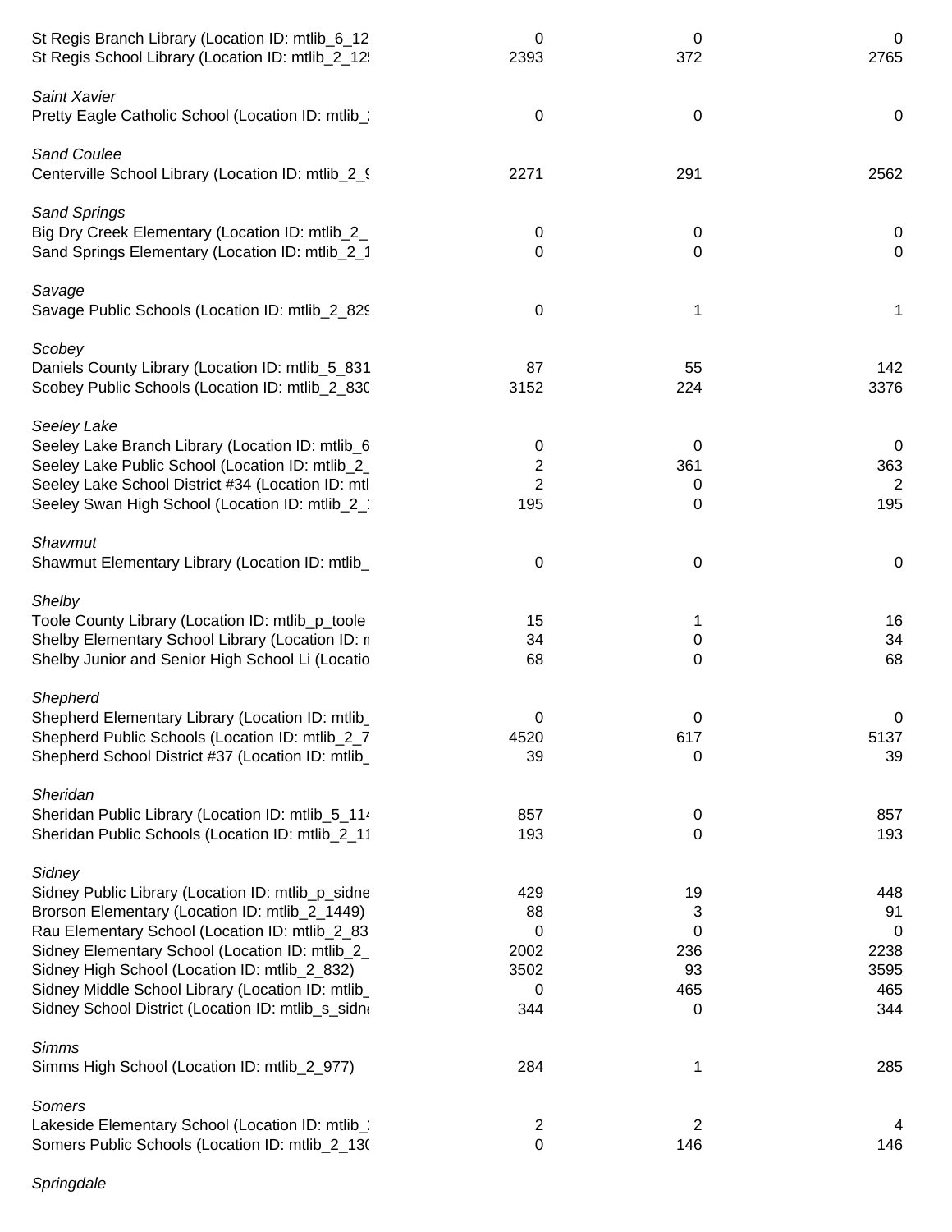| St Regis Branch Library (Location ID: mtlib_6_12<br>St Regis School Library (Location ID: mtlib_2_12                      | 0<br>2393             | 0<br>372         | 0<br>2765        |
|---------------------------------------------------------------------------------------------------------------------------|-----------------------|------------------|------------------|
| Saint Xavier<br>Pretty Eagle Catholic School (Location ID: mtlib_                                                         | $\boldsymbol{0}$      | $\pmb{0}$        | $\mathbf 0$      |
| <b>Sand Coulee</b><br>Centerville School Library (Location ID: mtlib_2_9                                                  | 2271                  | 291              | 2562             |
| <b>Sand Springs</b><br>Big Dry Creek Elementary (Location ID: mtlib_2_<br>Sand Springs Elementary (Location ID: mtlib_2_1 | 0<br>0                | $\mathbf 0$<br>0 | 0<br>$\mathbf 0$ |
| Savage<br>Savage Public Schools (Location ID: mtlib_2_829                                                                 | $\mathbf 0$           | 1                | 1                |
| Scobey                                                                                                                    |                       |                  |                  |
| Daniels County Library (Location ID: mtlib_5_831<br>Scobey Public Schools (Location ID: mtlib_2_830)                      | 87<br>3152            | 55<br>224        | 142<br>3376      |
| Seeley Lake                                                                                                               |                       |                  |                  |
| Seeley Lake Branch Library (Location ID: mtlib_6                                                                          | 0                     | 0                | 0                |
| Seeley Lake Public School (Location ID: mtlib_2_                                                                          | 2                     | 361              | 363              |
| Seeley Lake School District #34 (Location ID: mtl<br>Seeley Swan High School (Location ID: mtlib_2_                       | $\overline{2}$<br>195 | 0<br>0           | 2<br>195         |
|                                                                                                                           |                       |                  |                  |
| Shawmut                                                                                                                   |                       |                  |                  |
| Shawmut Elementary Library (Location ID: mtlib_                                                                           | $\mathbf 0$           | 0                | $\mathbf 0$      |
| Shelby                                                                                                                    |                       |                  |                  |
| Toole County Library (Location ID: mtlib_p_toole                                                                          | 15                    | 1                | 16               |
| Shelby Elementary School Library (Location ID: n                                                                          | 34                    | $\mathbf 0$      | 34               |
| Shelby Junior and Senior High School Li (Locatio                                                                          | 68                    | 0                | 68               |
| Shepherd                                                                                                                  |                       |                  |                  |
| Shepherd Elementary Library (Location ID: mtlib                                                                           | 0                     | 0                | $\Omega$         |
| Shepherd Public Schools (Location ID: mtlib_2_7                                                                           | 4520                  | 617              | 5137             |
| Shepherd School District #37 (Location ID: mtlib_                                                                         | 39                    | 0                | 39               |
| Sheridan                                                                                                                  |                       |                  |                  |
| Sheridan Public Library (Location ID: mtlib_5_114                                                                         | 857                   | 0                | 857              |
| Sheridan Public Schools (Location ID: mtlib_2_11                                                                          | 193                   | 0                | 193              |
| Sidney                                                                                                                    |                       |                  |                  |
| Sidney Public Library (Location ID: mtlib_p_sidne                                                                         | 429                   | 19               | 448              |
| Brorson Elementary (Location ID: mtlib_2_1449)                                                                            | 88                    | 3                | 91               |
| Rau Elementary School (Location ID: mtlib_2_83                                                                            | 0                     | 0                | 0                |
| Sidney Elementary School (Location ID: mtlib_2_                                                                           | 2002                  | 236              | 2238             |
| Sidney High School (Location ID: mtlib_2_832)<br>Sidney Middle School Library (Location ID: mtlib_                        | 3502<br>0             | 93<br>465        | 3595<br>465      |
| Sidney School District (Location ID: mtlib_s_sidn(                                                                        | 344                   | 0                | 344              |
| <b>Simms</b>                                                                                                              |                       |                  |                  |
| Simms High School (Location ID: mtlib_2_977)                                                                              | 284                   | 1                | 285              |
| Somers                                                                                                                    |                       |                  |                  |
| Lakeside Elementary School (Location ID: mtlib_)                                                                          | 2                     | 2                |                  |
| Somers Public Schools (Location ID: mtlib_2_13(                                                                           | $\pmb{0}$             | 146              | 146              |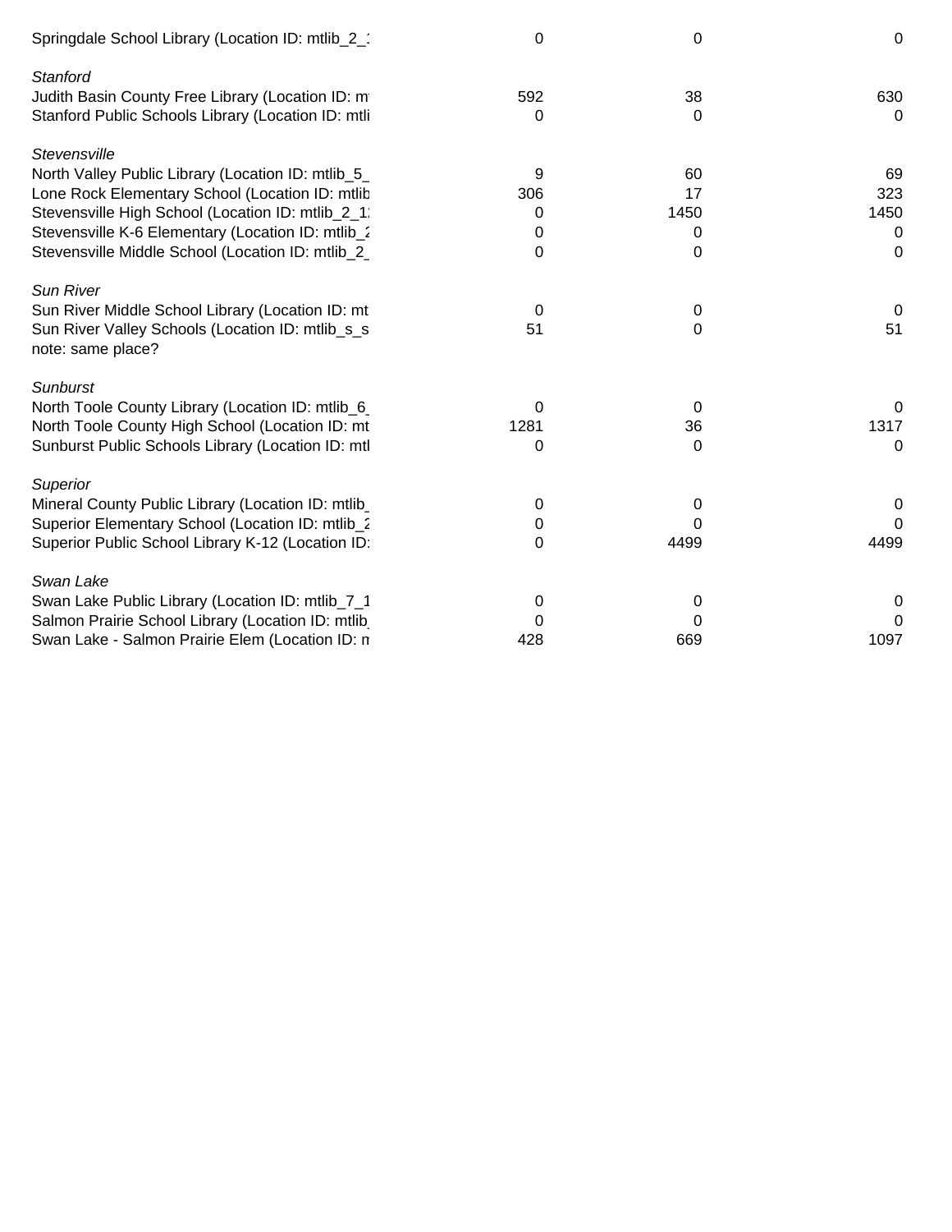| Springdale School Library (Location ID: mtlib_2_                      | $\Omega$ | 0    | $\mathbf 0$ |
|-----------------------------------------------------------------------|----------|------|-------------|
| Stanford<br>Judith Basin County Free Library (Location ID: m          | 592      | 38   | 630         |
| Stanford Public Schools Library (Location ID: mtli                    | 0        | 0    | $\Omega$    |
| Stevensville                                                          |          |      |             |
| North Valley Public Library (Location ID: mtlib_5_                    | 9        | 60   | 69          |
| Lone Rock Elementary School (Location ID: mtlib                       | 306      | 17   | 323         |
| Stevensville High School (Location ID: mtlib_2_1:                     | 0        | 1450 | 1450        |
| Stevensville K-6 Elementary (Location ID: mtlib_2                     | 0        | 0    | $\Omega$    |
| Stevensville Middle School (Location ID: mtlib_2_                     | $\Omega$ | 0    | $\Omega$    |
| <b>Sun River</b>                                                      |          |      |             |
| Sun River Middle School Library (Location ID: mt                      | 0        | 0    | $\Omega$    |
| Sun River Valley Schools (Location ID: mtlib_s_s<br>note: same place? | 51       | 0    | 51          |
| <b>Sunburst</b>                                                       |          |      |             |
| North Toole County Library (Location ID: mtlib_6                      | 0        | 0    | 0           |
| North Toole County High School (Location ID: mt                       | 1281     | 36   | 1317        |
| Sunburst Public Schools Library (Location ID: mtl                     | 0        | 0    | 0           |
| Superior                                                              |          |      |             |
| Mineral County Public Library (Location ID: mtlib                     | 0        | 0    | 0           |
| Superior Elementary School (Location ID: mtlib_2                      | 0        | 0    | 0           |
| Superior Public School Library K-12 (Location ID:                     | 0        | 4499 | 4499        |
| Swan Lake                                                             |          |      |             |
| Swan Lake Public Library (Location ID: mtlib_7_1                      | 0        | 0    | $\Omega$    |
| Salmon Prairie School Library (Location ID: mtlib                     | 0        | 0    | 0           |
| Swan Lake - Salmon Prairie Elem (Location ID: n                       | 428      | 669  | 1097        |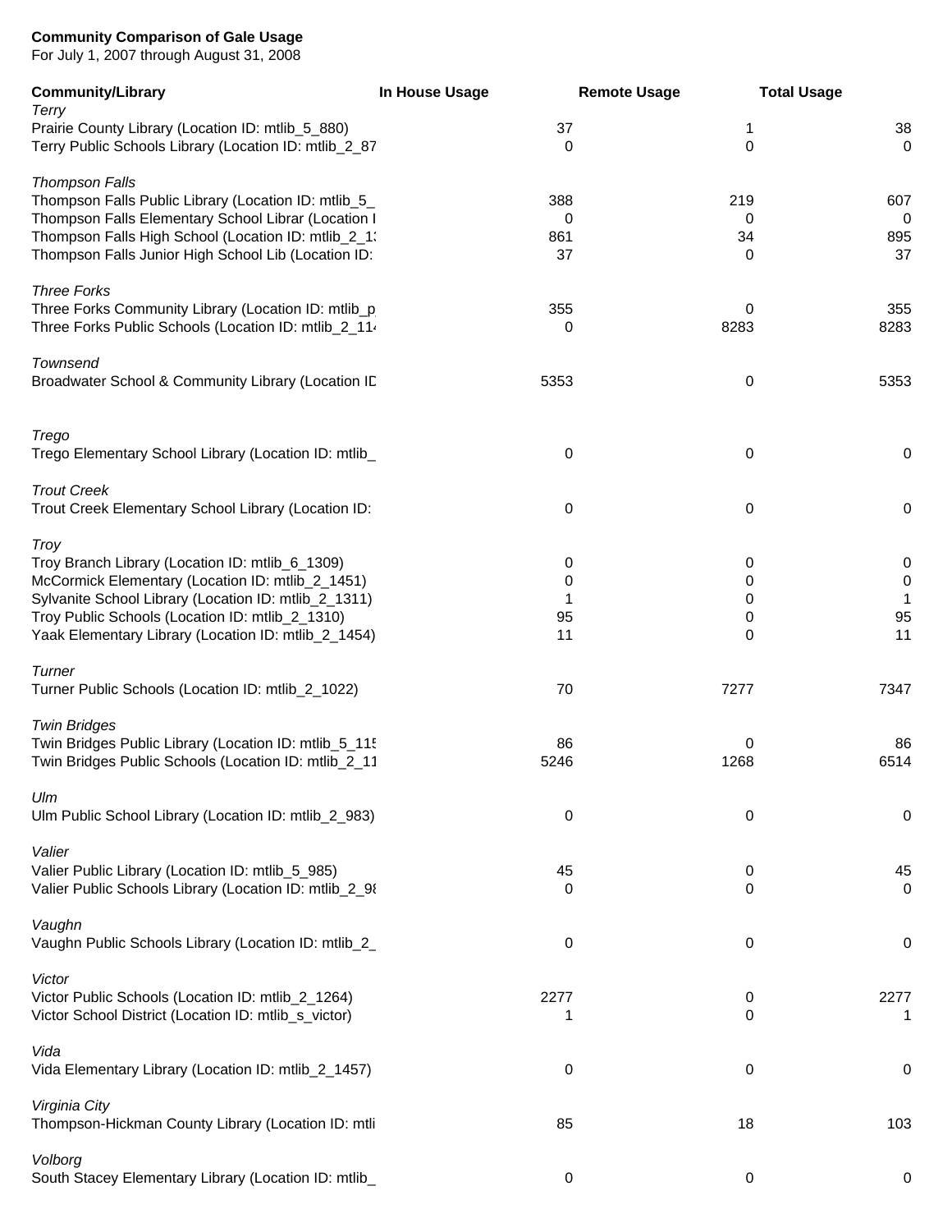For July 1, 2007 through August 31, 2008

| <b>Community/Library</b>                                                                                   | In House Usage    | <b>Remote Usage</b>        | <b>Total Usage</b>         |
|------------------------------------------------------------------------------------------------------------|-------------------|----------------------------|----------------------------|
| Terry                                                                                                      |                   |                            |                            |
| Prairie County Library (Location ID: mtlib_5_880)<br>Terry Public Schools Library (Location ID: mtlib_2_87 | 37<br>$\mathbf 0$ | $\mathbf 1$<br>$\mathbf 0$ | 38<br>$\mathbf 0$          |
|                                                                                                            |                   |                            |                            |
| <b>Thompson Falls</b>                                                                                      |                   |                            |                            |
| Thompson Falls Public Library (Location ID: mtlib_5_                                                       | 388               | 219                        | 607                        |
| Thompson Falls Elementary School Librar (Location I                                                        | 0                 | 0                          | $\mathbf 0$                |
| Thompson Falls High School (Location ID: mtlib_2_1)                                                        | 861               | 34                         | 895                        |
| Thompson Falls Junior High School Lib (Location ID:                                                        | 37                | 0                          | 37                         |
|                                                                                                            |                   |                            |                            |
| <b>Three Forks</b><br>Three Forks Community Library (Location ID: mtlib_p                                  | 355               | 0                          | 355                        |
| Three Forks Public Schools (Location ID: mtlib_2_114                                                       | 0                 | 8283                       | 8283                       |
|                                                                                                            |                   |                            |                            |
| Townsend                                                                                                   |                   |                            |                            |
| Broadwater School & Community Library (Location ID                                                         | 5353              | 0                          | 5353                       |
|                                                                                                            |                   |                            |                            |
| Trego                                                                                                      |                   |                            |                            |
| Trego Elementary School Library (Location ID: mtlib_                                                       | 0                 | 0                          | 0                          |
|                                                                                                            |                   |                            |                            |
| <b>Trout Creek</b>                                                                                         |                   |                            |                            |
| Trout Creek Elementary School Library (Location ID:                                                        | $\mathbf 0$       | 0                          | $\mathsf 0$                |
|                                                                                                            |                   |                            |                            |
| <b>Troy</b>                                                                                                |                   |                            |                            |
| Troy Branch Library (Location ID: mtlib_6_1309)<br>McCormick Elementary (Location ID: mtlib_2_1451)        | 0<br>0            | 0<br>0                     | $\mathbf 0$<br>$\mathbf 0$ |
| Sylvanite School Library (Location ID: mtlib_2_1311)                                                       | 1                 | 0                          | -1                         |
| Troy Public Schools (Location ID: mtlib_2_1310)                                                            | 95                | 0                          | 95                         |
| Yaak Elementary Library (Location ID: mtlib_2_1454)                                                        | 11                | 0                          | 11                         |
|                                                                                                            |                   |                            |                            |
| Turner                                                                                                     |                   |                            |                            |
| Turner Public Schools (Location ID: mtlib_2_1022)                                                          | 70                | 7277                       | 7347                       |
| <b>Twin Bridges</b>                                                                                        |                   |                            |                            |
| Twin Bridges Public Library (Location ID: mtlib_5_115                                                      | 86                | 0                          | 86                         |
| Twin Bridges Public Schools (Location ID: mtlib_2_11                                                       | 5246              | 1268                       | 6514                       |
|                                                                                                            |                   |                            |                            |
| Ulm                                                                                                        |                   |                            |                            |
| Ulm Public School Library (Location ID: mtlib_2_983)                                                       | $\boldsymbol{0}$  | 0                          | $\mathsf 0$                |
|                                                                                                            |                   |                            |                            |
| Valier<br>Valier Public Library (Location ID: mtlib_5_985)                                                 | 45                | 0                          | 45                         |
| Valier Public Schools Library (Location ID: mtlib_2_98                                                     | 0                 | 0                          | $\mathbf 0$                |
|                                                                                                            |                   |                            |                            |
| Vaughn                                                                                                     |                   |                            |                            |
| Vaughn Public Schools Library (Location ID: mtlib_2_                                                       | 0                 | 0                          | 0                          |
|                                                                                                            |                   |                            |                            |
| Victor                                                                                                     | 2277              |                            | 2277                       |
| Victor Public Schools (Location ID: mtlib_2_1264)<br>Victor School District (Location ID: mtlib_s_victor)  |                   | 0<br>$\Omega$              |                            |
|                                                                                                            |                   |                            |                            |
| Vida                                                                                                       |                   |                            |                            |
| Vida Elementary Library (Location ID: mtlib_2_1457)                                                        | 0                 | 0                          | 0                          |
|                                                                                                            |                   |                            |                            |
| Virginia City                                                                                              |                   |                            |                            |
| Thompson-Hickman County Library (Location ID: mtli                                                         | 85                | 18                         | 103                        |
| Volborg                                                                                                    |                   |                            |                            |
| South Stacey Elementary Library (Location ID: mtlib_                                                       | 0                 | $\pmb{0}$                  | 0                          |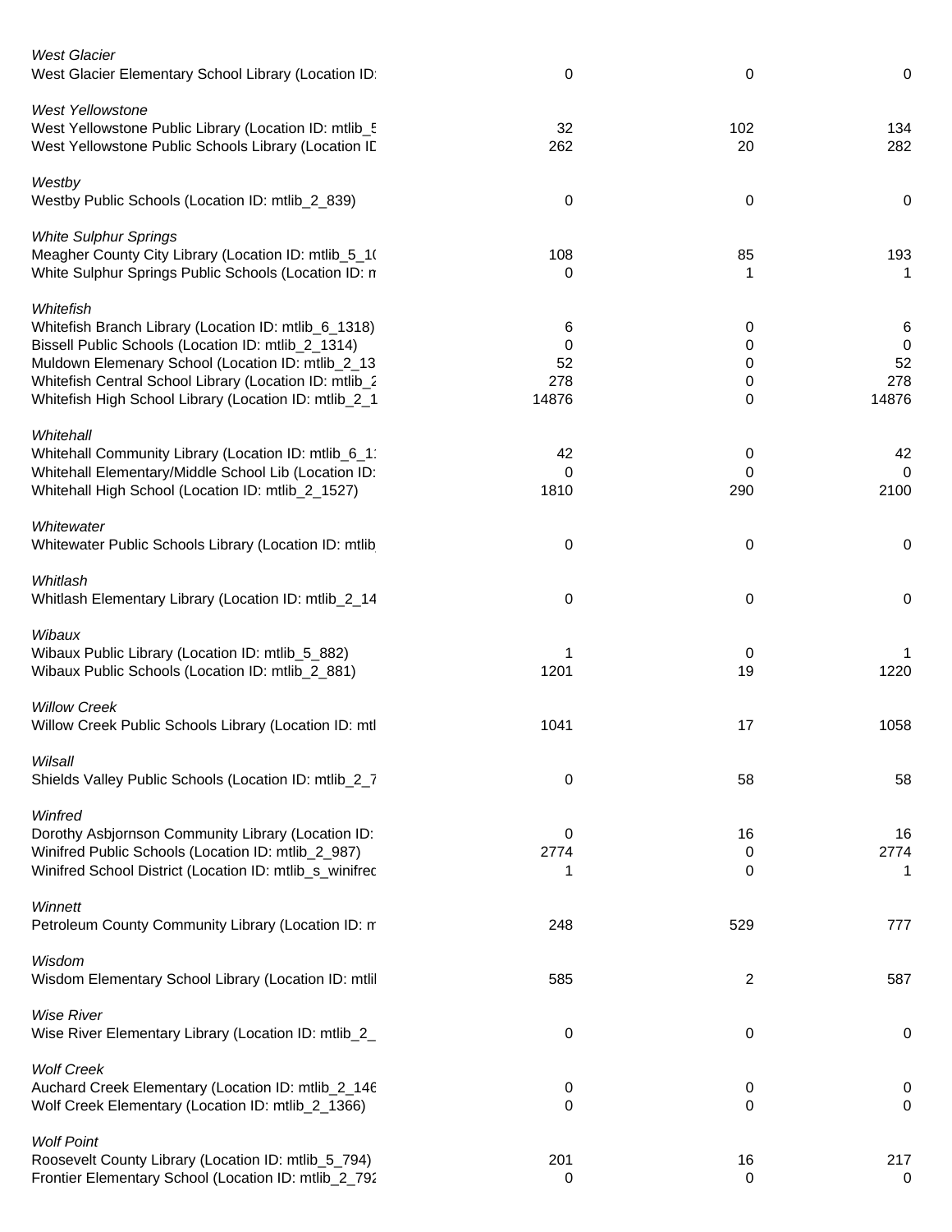| <b>West Glacier</b><br>West Glacier Elementary School Library (Location ID:                                                                                                                                                                                                                     | 0                            | 0                     | 0                                         |
|-------------------------------------------------------------------------------------------------------------------------------------------------------------------------------------------------------------------------------------------------------------------------------------------------|------------------------------|-----------------------|-------------------------------------------|
| <b>West Yellowstone</b><br>West Yellowstone Public Library (Location ID: mtlib_5<br>West Yellowstone Public Schools Library (Location ID                                                                                                                                                        | 32<br>262                    | 102<br>20             | 134<br>282                                |
| Westby<br>Westby Public Schools (Location ID: mtlib_2_839)                                                                                                                                                                                                                                      | 0                            | 0                     | 0                                         |
| <b>White Sulphur Springs</b><br>Meagher County City Library (Location ID: mtlib_5_1)<br>White Sulphur Springs Public Schools (Location ID: n                                                                                                                                                    | 108<br>0                     | 85<br>1               | 193<br>1                                  |
| Whitefish<br>Whitefish Branch Library (Location ID: mtlib_6_1318)<br>Bissell Public Schools (Location ID: mtlib_2_1314)<br>Muldown Elemenary School (Location ID: mtlib_2_13<br>Whitefish Central School Library (Location ID: mtlib_2<br>Whitefish High School Library (Location ID: mtlib_2_1 | 6<br>0<br>52<br>278<br>14876 | 0<br>0<br>0<br>0<br>0 | 6<br>$\overline{0}$<br>52<br>278<br>14876 |
| Whitehall<br>Whitehall Community Library (Location ID: mtlib_6_1<br>Whitehall Elementary/Middle School Lib (Location ID:<br>Whitehall High School (Location ID: mtlib_2_1527)                                                                                                                   | 42<br>0<br>1810              | 0<br>0<br>290         | 42<br>$\mathbf 0$<br>2100                 |
| Whitewater<br>Whitewater Public Schools Library (Location ID: mtlib                                                                                                                                                                                                                             | 0                            | 0                     | 0                                         |
| Whitlash<br>Whitlash Elementary Library (Location ID: mtlib_2_14                                                                                                                                                                                                                                | 0                            | 0                     | 0                                         |
| Wibaux<br>Wibaux Public Library (Location ID: mtlib_5_882)<br>Wibaux Public Schools (Location ID: mtlib_2_881)                                                                                                                                                                                  | 1201                         | 0<br>19               | 1220                                      |
| <b>Willow Creek</b><br>Willow Creek Public Schools Library (Location ID: mtl                                                                                                                                                                                                                    | 1041                         | 17                    | 1058                                      |
| Wilsall<br>Shields Valley Public Schools (Location ID: mtlib_2_7                                                                                                                                                                                                                                | 0                            | 58                    | 58                                        |
| Winfred<br>Dorothy Asbjornson Community Library (Location ID:<br>Winifred Public Schools (Location ID: mtlib_2_987)<br>Winifred School District (Location ID: mtlib_s_winifred                                                                                                                  | 0<br>2774<br>1               | 16<br>0<br>0          | 16<br>2774<br>1                           |
| Winnett<br>Petroleum County Community Library (Location ID: m                                                                                                                                                                                                                                   | 248                          | 529                   | 777                                       |
| Wisdom<br>Wisdom Elementary School Library (Location ID: mtlil                                                                                                                                                                                                                                  | 585                          | $\overline{2}$        | 587                                       |
| <b>Wise River</b><br>Wise River Elementary Library (Location ID: mtlib_2_                                                                                                                                                                                                                       | 0                            | 0                     | 0                                         |
| <b>Wolf Creek</b><br>Auchard Creek Elementary (Location ID: mtlib_2_146<br>Wolf Creek Elementary (Location ID: mtlib_2_1366)                                                                                                                                                                    | 0<br>0                       | 0<br>0                | 0<br>0                                    |
| <b>Wolf Point</b><br>Roosevelt County Library (Location ID: mtlib_5_794)<br>Frontier Elementary School (Location ID: mtlib_2_792                                                                                                                                                                | 201<br>0                     | 16<br>$\mathbf 0$     | 217<br>$\mathbf 0$                        |